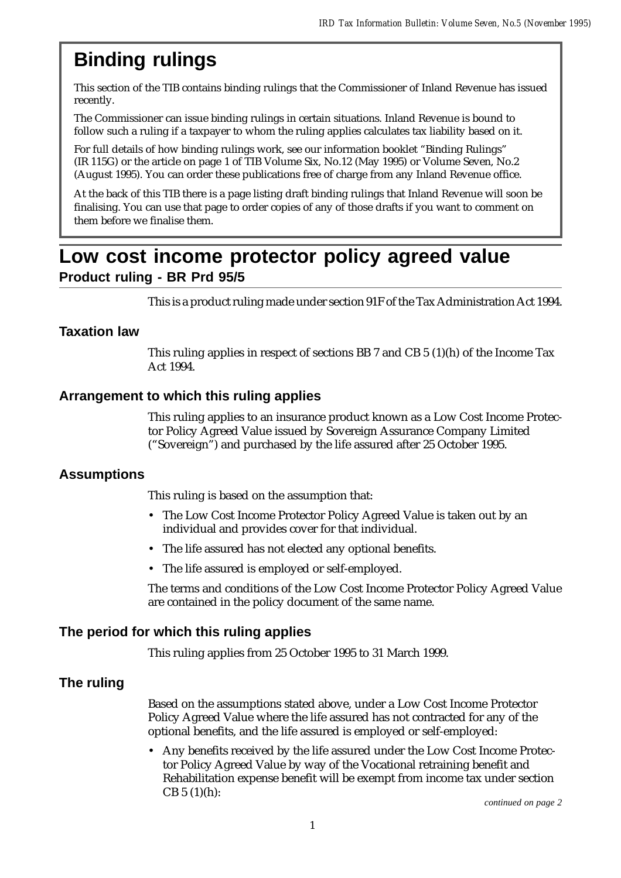# **Binding rulings**

This section of the TIB contains binding rulings that the Commissioner of Inland Revenue has issued recently.

The Commissioner can issue binding rulings in certain situations. Inland Revenue is bound to follow such a ruling if a taxpayer to whom the ruling applies calculates tax liability based on it.

For full details of how binding rulings work, see our information booklet "Binding Rulings" (IR 115G) or the article on page 1 of TIB Volume Six, No.12 (May 1995) or Volume Seven, No.2 (August 1995). You can order these publications free of charge from any Inland Revenue office.

At the back of this TIB there is a page listing draft binding rulings that Inland Revenue will soon be finalising. You can use that page to order copies of any of those drafts if you want to comment on them before we finalise them.

# **Low cost income protector policy agreed value Product ruling - BR Prd 95/5**

This is a product ruling made under section 91F of the Tax Administration Act 1994.

## **Taxation law**

This ruling applies in respect of sections BB 7 and CB  $5 \frac{(1)}{(h)}$  of the Income Tax Act 1994.

# **Arrangement to which this ruling applies**

This ruling applies to an insurance product known as a Low Cost Income Protector Policy Agreed Value issued by Sovereign Assurance Company Limited ("Sovereign") and purchased by the life assured after 25 October 1995.

## **Assumptions**

This ruling is based on the assumption that:

- The Low Cost Income Protector Policy Agreed Value is taken out by an individual and provides cover for that individual.
- The life assured has not elected any optional benefits.
- The life assured is employed or self-employed.

The terms and conditions of the Low Cost Income Protector Policy Agreed Value are contained in the policy document of the same name.

## **The period for which this ruling applies**

This ruling applies from 25 October 1995 to 31 March 1999.

## **The ruling**

Based on the assumptions stated above, under a Low Cost Income Protector Policy Agreed Value where the life assured has not contracted for any of the optional benefits, and the life assured is employed or self-employed:

• Any benefits received by the life assured under the Low Cost Income Protector Policy Agreed Value by way of the Vocational retraining benefit and Rehabilitation expense benefit will be exempt from income tax under section  $CB 5 (1)(h):$ 

*continued on page 2*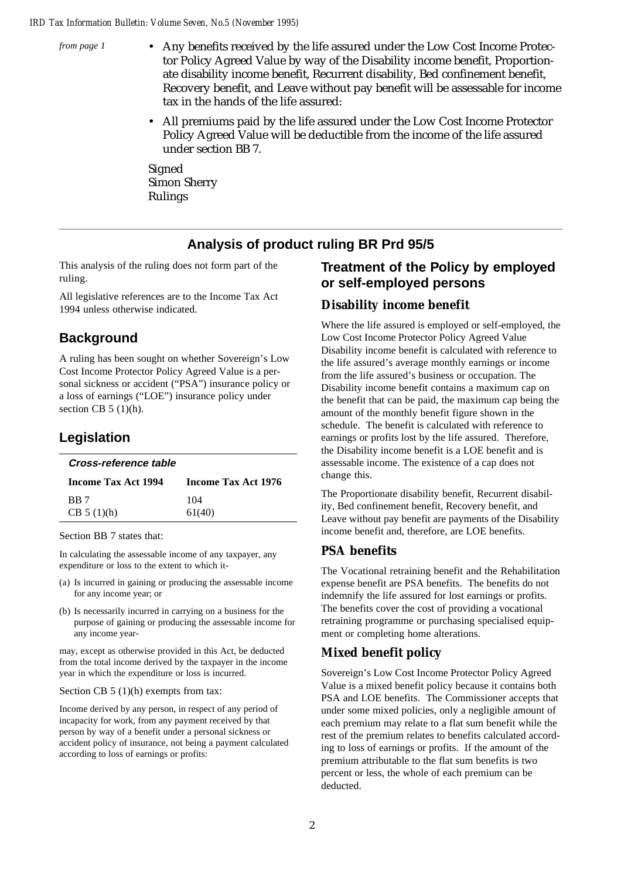*from page 1*

- Any benefits received by the life assured under the Low Cost Income Protector Policy Agreed Value by way of the Disability income benefit, Proportionate disability income benefit, Recurrent disability, Bed confinement benefit, Recovery benefit, and Leave without pay benefit will be assessable for income tax in the hands of the life assured:
	- All premiums paid by the life assured under the Low Cost Income Protector Policy Agreed Value will be deductible from the income of the life assured under section BB 7.

Signed Simon Sherry Rulings

# **Analysis of product ruling BR Prd 95/5**

This analysis of the ruling does not form part of the ruling.

All legislative references are to the Income Tax Act 1994 unless otherwise indicated.

# **Background**

A ruling has been sought on whether Sovereign's Low Cost Income Protector Policy Agreed Value is a personal sickness or accident ("PSA") insurance policy or a loss of earnings ("LOE") insurance policy under section CB  $5(1)(h)$ .

# **Legislation**

|  | Cross-reference table |  |
|--|-----------------------|--|
|  |                       |  |

| <b>Income Tax Act 1994</b> | <b>Income Tax Act 1976</b> |
|----------------------------|----------------------------|
| BB 7                       | 104                        |
| CB 5(1)(h)                 | 61(40)                     |
|                            |                            |

Section BB 7 states that:

In calculating the assessable income of any taxpayer, any expenditure or loss to the extent to which it-

- (a) Is incurred in gaining or producing the assessable income for any income year; or
- (b) Is necessarily incurred in carrying on a business for the purpose of gaining or producing the assessable income for any income year-

may, except as otherwise provided in this Act, be deducted from the total income derived by the taxpayer in the income year in which the expenditure or loss is incurred.

### Section CB 5 (1)(h) exempts from tax:

Income derived by any person, in respect of any period of incapacity for work, from any payment received by that person by way of a benefit under a personal sickness or accident policy of insurance, not being a payment calculated according to loss of earnings or profits:

# **Treatment of the Policy by employed or self-employed persons**

### **Disability income benefit**

Where the life assured is employed or self-employed, the Low Cost Income Protector Policy Agreed Value Disability income benefit is calculated with reference to the life assured's average monthly earnings or income from the life assured's business or occupation. The Disability income benefit contains a maximum cap on the benefit that can be paid, the maximum cap being the amount of the monthly benefit figure shown in the schedule. The benefit is calculated with reference to earnings or profits lost by the life assured. Therefore, the Disability income benefit is a LOE benefit and is assessable income. The existence of a cap does not change this.

The Proportionate disability benefit, Recurrent disability, Bed confinement benefit, Recovery benefit, and Leave without pay benefit are payments of the Disability income benefit and, therefore, are LOE benefits.

### **PSA benefits**

The Vocational retraining benefit and the Rehabilitation expense benefit are PSA benefits. The benefits do not indemnify the life assured for lost earnings or profits. The benefits cover the cost of providing a vocational retraining programme or purchasing specialised equipment or completing home alterations.

## **Mixed benefit policy**

Sovereign's Low Cost Income Protector Policy Agreed Value is a mixed benefit policy because it contains both PSA and LOE benefits. The Commissioner accepts that under some mixed policies, only a negligible amount of each premium may relate to a flat sum benefit while the rest of the premium relates to benefits calculated according to loss of earnings or profits. If the amount of the premium attributable to the flat sum benefits is two percent or less, the whole of each premium can be deducted.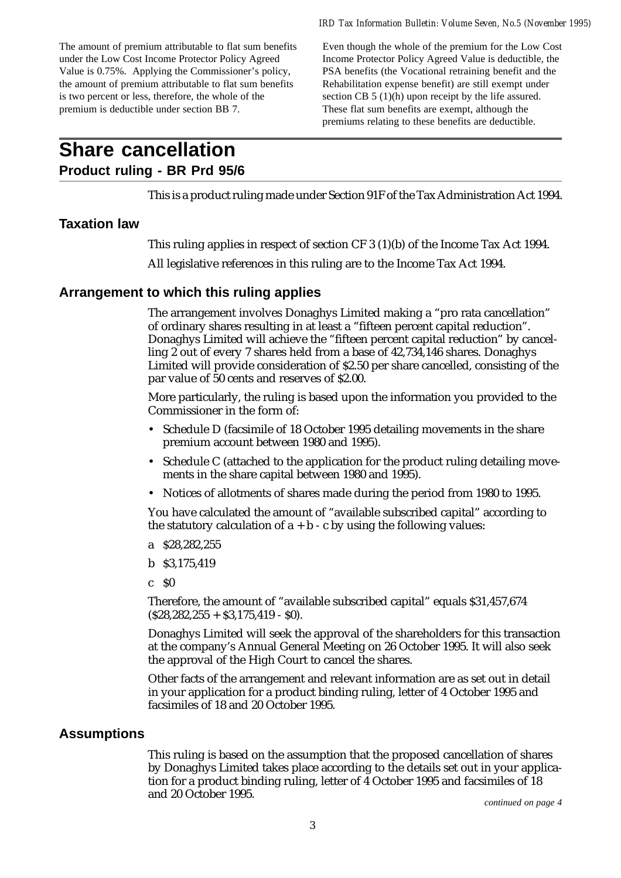The amount of premium attributable to flat sum benefits under the Low Cost Income Protector Policy Agreed Value is 0.75%. Applying the Commissioner's policy, the amount of premium attributable to flat sum benefits is two percent or less, therefore, the whole of the premium is deductible under section BB 7.

Even though the whole of the premium for the Low Cost Income Protector Policy Agreed Value is deductible, the PSA benefits (the Vocational retraining benefit and the Rehabilitation expense benefit) are still exempt under section CB 5 (1)(h) upon receipt by the life assured. These flat sum benefits are exempt, although the premiums relating to these benefits are deductible.

# **Share cancellation**

# **Product ruling - BR Prd 95/6**

This is a product ruling made under Section 91F of the Tax Administration Act 1994.

# **Taxation law**

This ruling applies in respect of section CF 3 (1)(b) of the Income Tax Act 1994.

All legislative references in this ruling are to the Income Tax Act 1994.

# **Arrangement to which this ruling applies**

The arrangement involves Donaghys Limited making a "pro rata cancellation" of ordinary shares resulting in at least a "fifteen percent capital reduction". Donaghys Limited will achieve the "fifteen percent capital reduction" by cancelling 2 out of every 7 shares held from a base of 42,734,146 shares. Donaghys Limited will provide consideration of \$2.50 per share cancelled, consisting of the par value of 50 cents and reserves of \$2.00.

More particularly, the ruling is based upon the information you provided to the Commissioner in the form of:

- Schedule D (facsimile of 18 October 1995 detailing movements in the share premium account between 1980 and 1995).
- Schedule C (attached to the application for the product ruling detailing movements in the share capital between 1980 and 1995).
- Notices of allotments of shares made during the period from 1980 to 1995.

You have calculated the amount of "available subscribed capital" according to the statutory calculation of  $a + b - c$  by using the following values:

- a \$28,282,255
- b \$3,175,419
- $c<sub>50</sub>$

Therefore, the amount of "available subscribed capital" equals \$31,457,674  $(S28.282.255 + S3.175.419 - S0).$ 

Donaghys Limited will seek the approval of the shareholders for this transaction at the company's Annual General Meeting on 26 October 1995. It will also seek the approval of the High Court to cancel the shares.

Other facts of the arrangement and relevant information are as set out in detail in your application for a product binding ruling, letter of 4 October 1995 and facsimiles of 18 and 20 October 1995.

## **Assumptions**

This ruling is based on the assumption that the proposed cancellation of shares by Donaghys Limited takes place according to the details set out in your application for a product binding ruling, letter of 4 October 1995 and facsimiles of 18 and 20 October 1995.

*continued on page 4*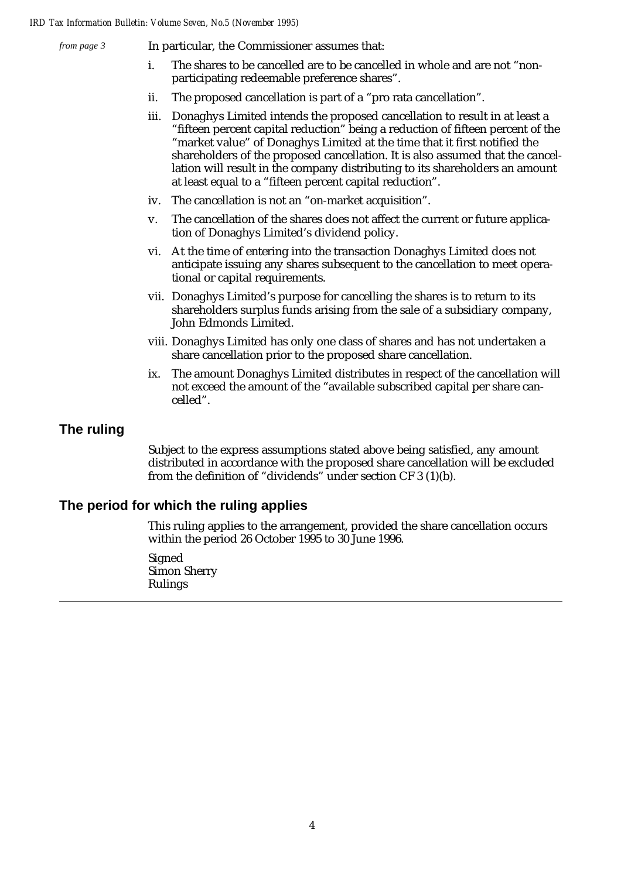*from page 3*

In particular, the Commissioner assumes that:

- i. The shares to be cancelled are to be cancelled in whole and are not "nonparticipating redeemable preference shares".
- ii. The proposed cancellation is part of a "pro rata cancellation".
- iii. Donaghys Limited intends the proposed cancellation to result in at least a "fifteen percent capital reduction" being a reduction of fifteen percent of the "market value" of Donaghys Limited at the time that it first notified the shareholders of the proposed cancellation. It is also assumed that the cancellation will result in the company distributing to its shareholders an amount at least equal to a "fifteen percent capital reduction".
- iv. The cancellation is not an "on-market acquisition".
- v. The cancellation of the shares does not affect the current or future application of Donaghys Limited's dividend policy.
- vi. At the time of entering into the transaction Donaghys Limited does not anticipate issuing any shares subsequent to the cancellation to meet operational or capital requirements.
- vii. Donaghys Limited's purpose for cancelling the shares is to return to its shareholders surplus funds arising from the sale of a subsidiary company, John Edmonds Limited.
- viii. Donaghys Limited has only one class of shares and has not undertaken a share cancellation prior to the proposed share cancellation.
- ix. The amount Donaghys Limited distributes in respect of the cancellation will not exceed the amount of the "available subscribed capital per share cancelled".

## **The ruling**

Subject to the express assumptions stated above being satisfied, any amount distributed in accordance with the proposed share cancellation will be excluded from the definition of "dividends" under section CF 3 (1)(b).

## **The period for which the ruling applies**

This ruling applies to the arrangement, provided the share cancellation occurs within the period 26 October 1995 to 30 June 1996.

Signed Simon Sherry Rulings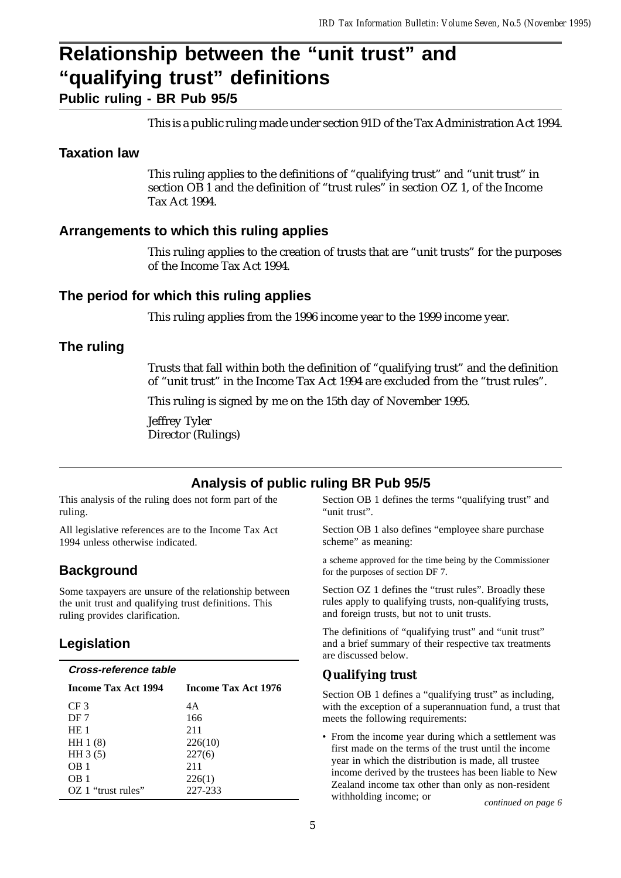# **Relationship between the "unit trust" and "qualifying trust" definitions**

**Public ruling - BR Pub 95/5**

This is a public ruling made under section 91D of the Tax Administration Act 1994.

# **Taxation law**

This ruling applies to the definitions of "qualifying trust" and "unit trust" in section OB 1 and the definition of "trust rules" in section OZ 1, of the Income Tax Act 1994.

# **Arrangements to which this ruling applies**

This ruling applies to the creation of trusts that are "unit trusts" for the purposes of the Income Tax Act 1994.

# **The period for which this ruling applies**

This ruling applies from the 1996 income year to the 1999 income year.

# **The ruling**

Trusts that fall within both the definition of "qualifying trust" and the definition of "unit trust" in the Income Tax Act 1994 are excluded from the "trust rules".

This ruling is signed by me on the 15th day of November 1995.

Jeffrey Tyler Director (Rulings)

# **Analysis of public ruling BR Pub 95/5**

This analysis of the ruling does not form part of the ruling.

All legislative references are to the Income Tax Act 1994 unless otherwise indicated.

# **Background**

Some taxpayers are unsure of the relationship between the unit trust and qualifying trust definitions. This ruling provides clarification.

# **Legislation**

| Cross-reference table      |                     |
|----------------------------|---------------------|
| <b>Income Tax Act 1994</b> | Income Tax Act 1976 |
| CF <sub>3</sub>            | 4A                  |
| DF 7                       | 166                 |
| HE <sub>1</sub>            | 211                 |
| HH $1(8)$                  | 226(10)             |
| HH $3(5)$                  | 227(6)              |
| OB <sub>1</sub>            | 211                 |
| OB 1                       | 226(1)              |
| OZ 1 "trust rules"         | 227-233             |

Section OB 1 defines the terms "qualifying trust" and "unit trust".

Section OB 1 also defines "employee share purchase scheme" as meaning:

a scheme approved for the time being by the Commissioner for the purposes of section DF 7.

Section OZ 1 defines the "trust rules". Broadly these rules apply to qualifying trusts, non-qualifying trusts, and foreign trusts, but not to unit trusts.

The definitions of "qualifying trust" and "unit trust" and a brief summary of their respective tax treatments are discussed below.

# **Qualifying trust**

Section OB 1 defines a "qualifying trust" as including, with the exception of a superannuation fund, a trust that meets the following requirements:

• From the income year during which a settlement was first made on the terms of the trust until the income year in which the distribution is made, all trustee income derived by the trustees has been liable to New Zealand income tax other than only as non-resident withholding income; or *continued on page 6*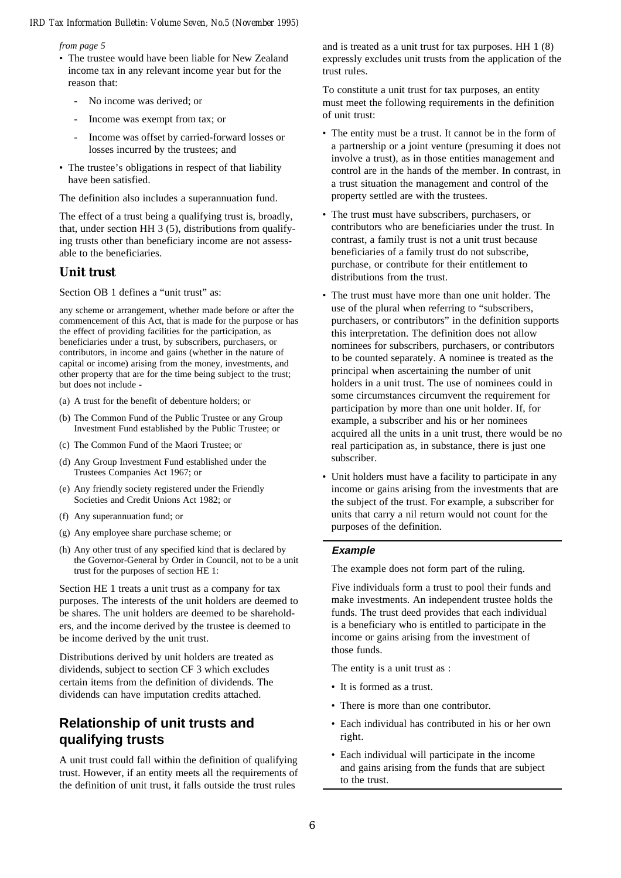*from page 5*

- The trustee would have been liable for New Zealand income tax in any relevant income year but for the reason that:
	- No income was derived; or
	- Income was exempt from tax; or
	- Income was offset by carried-forward losses or losses incurred by the trustees; and
- The trustee's obligations in respect of that liability have been satisfied.

The definition also includes a superannuation fund.

The effect of a trust being a qualifying trust is, broadly, that, under section HH 3 (5), distributions from qualifying trusts other than beneficiary income are not assessable to the beneficiaries.

### **Unit trust**

Section OB 1 defines a "unit trust" as:

any scheme or arrangement, whether made before or after the commencement of this Act, that is made for the purpose or has the effect of providing facilities for the participation, as beneficiaries under a trust, by subscribers, purchasers, or contributors, in income and gains (whether in the nature of capital or income) arising from the money, investments, and other property that are for the time being subject to the trust; but does not include -

- (a) A trust for the benefit of debenture holders; or
- (b) The Common Fund of the Public Trustee or any Group Investment Fund established by the Public Trustee; or
- (c) The Common Fund of the Maori Trustee; or
- (d) Any Group Investment Fund established under the Trustees Companies Act 1967; or
- (e) Any friendly society registered under the Friendly Societies and Credit Unions Act 1982; or
- (f) Any superannuation fund; or
- (g) Any employee share purchase scheme; or
- (h) Any other trust of any specified kind that is declared by the Governor-General by Order in Council, not to be a unit trust for the purposes of section HE 1:

Section HE 1 treats a unit trust as a company for tax purposes. The interests of the unit holders are deemed to be shares. The unit holders are deemed to be shareholders, and the income derived by the trustee is deemed to be income derived by the unit trust.

Distributions derived by unit holders are treated as dividends, subject to section CF 3 which excludes certain items from the definition of dividends. The dividends can have imputation credits attached.

# **Relationship of unit trusts and qualifying trusts**

A unit trust could fall within the definition of qualifying trust. However, if an entity meets all the requirements of the definition of unit trust, it falls outside the trust rules

and is treated as a unit trust for tax purposes. HH 1 (8) expressly excludes unit trusts from the application of the trust rules.

To constitute a unit trust for tax purposes, an entity must meet the following requirements in the definition of unit trust:

- The entity must be a trust. It cannot be in the form of a partnership or a joint venture (presuming it does not involve a trust), as in those entities management and control are in the hands of the member. In contrast, in a trust situation the management and control of the property settled are with the trustees.
- The trust must have subscribers, purchasers, or contributors who are beneficiaries under the trust. In contrast, a family trust is not a unit trust because beneficiaries of a family trust do not subscribe, purchase, or contribute for their entitlement to distributions from the trust.
- The trust must have more than one unit holder. The use of the plural when referring to "subscribers, purchasers, or contributors" in the definition supports this interpretation. The definition does not allow nominees for subscribers, purchasers, or contributors to be counted separately. A nominee is treated as the principal when ascertaining the number of unit holders in a unit trust. The use of nominees could in some circumstances circumvent the requirement for participation by more than one unit holder. If, for example, a subscriber and his or her nominees acquired all the units in a unit trust, there would be no real participation as, in substance, there is just one subscriber.
- Unit holders must have a facility to participate in any income or gains arising from the investments that are the subject of the trust. For example, a subscriber for units that carry a nil return would not count for the purposes of the definition.

#### **Example**

The example does not form part of the ruling.

Five individuals form a trust to pool their funds and make investments. An independent trustee holds the funds. The trust deed provides that each individual is a beneficiary who is entitled to participate in the income or gains arising from the investment of those funds.

The entity is a unit trust as :

- It is formed as a trust.
- There is more than one contributor.
- Each individual has contributed in his or her own right.
- Each individual will participate in the income and gains arising from the funds that are subject to the trust.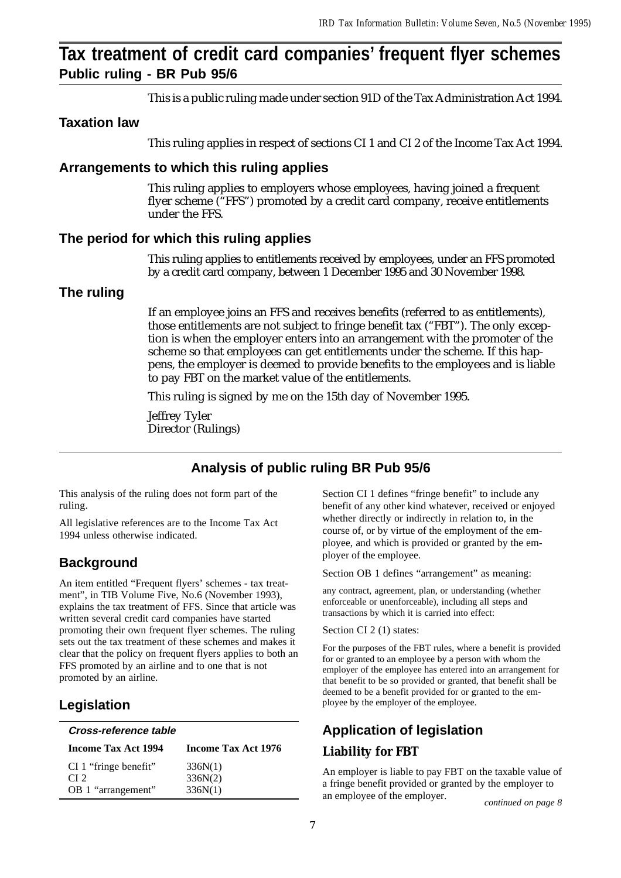# **Tax treatment of credit card companies' frequent flyer schemes Public ruling - BR Pub 95/6**

This is a public ruling made under section 91D of the Tax Administration Act 1994.

# **Taxation law**

This ruling applies in respect of sections CI 1 and CI 2 of the Income Tax Act 1994.

# **Arrangements to which this ruling applies**

This ruling applies to employers whose employees, having joined a frequent flyer scheme ("FFS") promoted by a credit card company, receive entitlements under the FFS.

# **The period for which this ruling applies**

This ruling applies to entitlements received by employees, under an FFS promoted by a credit card company, between 1 December 1995 and 30 November 1998.

# **The ruling**

If an employee joins an FFS and receives benefits (referred to as entitlements), those entitlements are not subject to fringe benefit tax ("FBT"). The only exception is when the employer enters into an arrangement with the promoter of the scheme so that employees can get entitlements under the scheme. If this happens, the employer is deemed to provide benefits to the employees and is liable to pay FBT on the market value of the entitlements.

This ruling is signed by me on the 15th day of November 1995.

Jeffrey Tyler Director (Rulings)

# **Analysis of public ruling BR Pub 95/6**

This analysis of the ruling does not form part of the ruling.

All legislative references are to the Income Tax Act 1994 unless otherwise indicated.

# **Background**

An item entitled "Frequent flyers' schemes - tax treatment", in TIB Volume Five, No.6 (November 1993), explains the tax treatment of FFS. Since that article was written several credit card companies have started promoting their own frequent flyer schemes. The ruling sets out the tax treatment of these schemes and makes it clear that the policy on frequent flyers applies to both an FFS promoted by an airline and to one that is not promoted by an airline.

# **Legislation**

| Cross-reference table      |                     |  |  |
|----------------------------|---------------------|--|--|
| <b>Income Tax Act 1994</b> | Income Tax Act 1976 |  |  |
| CI 1 "fringe benefit"      | 336N(1)             |  |  |
| CI2                        | 336N(2)             |  |  |
| OB 1 "arrangement"         | 336N(1)             |  |  |

Section CI 1 defines "fringe benefit" to include any benefit of any other kind whatever, received or enjoyed whether directly or indirectly in relation to, in the course of, or by virtue of the employment of the employee, and which is provided or granted by the employer of the employee.

Section OB 1 defines "arrangement" as meaning:

any contract, agreement, plan, or understanding (whether enforceable or unenforceable), including all steps and transactions by which it is carried into effect:

Section CI 2 (1) states:

For the purposes of the FBT rules, where a benefit is provided for or granted to an employee by a person with whom the employer of the employee has entered into an arrangement for that benefit to be so provided or granted, that benefit shall be deemed to be a benefit provided for or granted to the employee by the employer of the employee.

# **Application of legislation Liability for FBT**

An employer is liable to pay FBT on the taxable value of a fringe benefit provided or granted by the employer to an employee of the employer. *continued on page 8*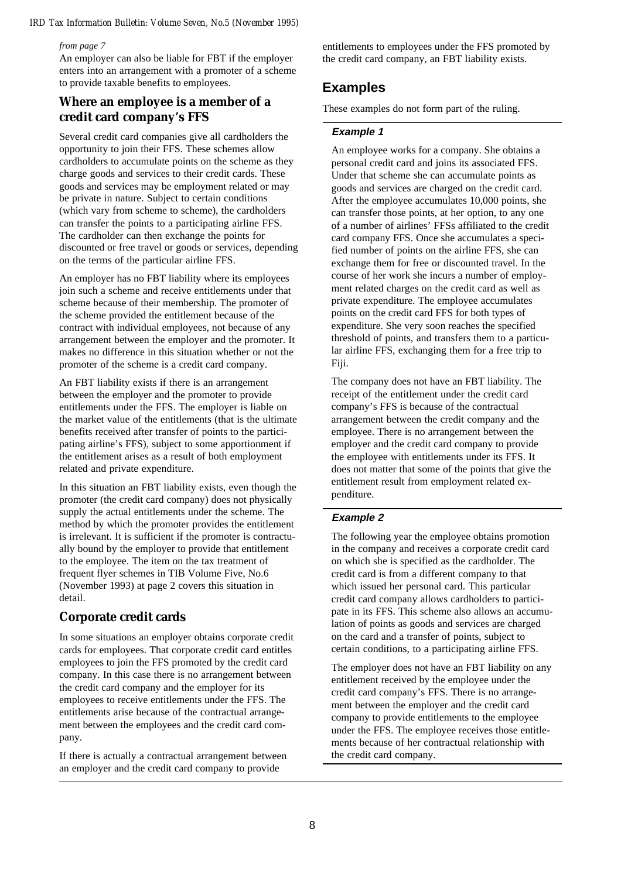#### *from page 7*

An employer can also be liable for FBT if the employer enters into an arrangement with a promoter of a scheme to provide taxable benefits to employees.

### **Where an employee is a member of a credit card company's FFS**

Several credit card companies give all cardholders the opportunity to join their FFS. These schemes allow cardholders to accumulate points on the scheme as they charge goods and services to their credit cards. These goods and services may be employment related or may be private in nature. Subject to certain conditions (which vary from scheme to scheme), the cardholders can transfer the points to a participating airline FFS. The cardholder can then exchange the points for discounted or free travel or goods or services, depending on the terms of the particular airline FFS.

An employer has no FBT liability where its employees join such a scheme and receive entitlements under that scheme because of their membership. The promoter of the scheme provided the entitlement because of the contract with individual employees, not because of any arrangement between the employer and the promoter. It makes no difference in this situation whether or not the promoter of the scheme is a credit card company.

An FBT liability exists if there is an arrangement between the employer and the promoter to provide entitlements under the FFS. The employer is liable on the market value of the entitlements (that is the ultimate benefits received after transfer of points to the participating airline's FFS), subject to some apportionment if the entitlement arises as a result of both employment related and private expenditure.

In this situation an FBT liability exists, even though the promoter (the credit card company) does not physically supply the actual entitlements under the scheme. The method by which the promoter provides the entitlement is irrelevant. It is sufficient if the promoter is contractually bound by the employer to provide that entitlement to the employee. The item on the tax treatment of frequent flyer schemes in TIB Volume Five, No.6 (November 1993) at page 2 covers this situation in detail.

### **Corporate credit cards**

In some situations an employer obtains corporate credit cards for employees. That corporate credit card entitles employees to join the FFS promoted by the credit card company. In this case there is no arrangement between the credit card company and the employer for its employees to receive entitlements under the FFS. The entitlements arise because of the contractual arrangement between the employees and the credit card company.

If there is actually a contractual arrangement between an employer and the credit card company to provide

entitlements to employees under the FFS promoted by the credit card company, an FBT liability exists.

# **Examples**

These examples do not form part of the ruling.

### **Example 1**

An employee works for a company. She obtains a personal credit card and joins its associated FFS. Under that scheme she can accumulate points as goods and services are charged on the credit card. After the employee accumulates 10,000 points, she can transfer those points, at her option, to any one of a number of airlines' FFSs affiliated to the credit card company FFS. Once she accumulates a specified number of points on the airline FFS, she can exchange them for free or discounted travel. In the course of her work she incurs a number of employment related charges on the credit card as well as private expenditure. The employee accumulates points on the credit card FFS for both types of expenditure. She very soon reaches the specified threshold of points, and transfers them to a particular airline FFS, exchanging them for a free trip to Fiji.

The company does not have an FBT liability. The receipt of the entitlement under the credit card company's FFS is because of the contractual arrangement between the credit company and the employee. There is no arrangement between the employer and the credit card company to provide the employee with entitlements under its FFS. It does not matter that some of the points that give the entitlement result from employment related expenditure.

### **Example 2**

The following year the employee obtains promotion in the company and receives a corporate credit card on which she is specified as the cardholder. The credit card is from a different company to that which issued her personal card. This particular credit card company allows cardholders to participate in its FFS. This scheme also allows an accumulation of points as goods and services are charged on the card and a transfer of points, subject to certain conditions, to a participating airline FFS.

The employer does not have an FBT liability on any entitlement received by the employee under the credit card company's FFS. There is no arrangement between the employer and the credit card company to provide entitlements to the employee under the FFS. The employee receives those entitlements because of her contractual relationship with the credit card company.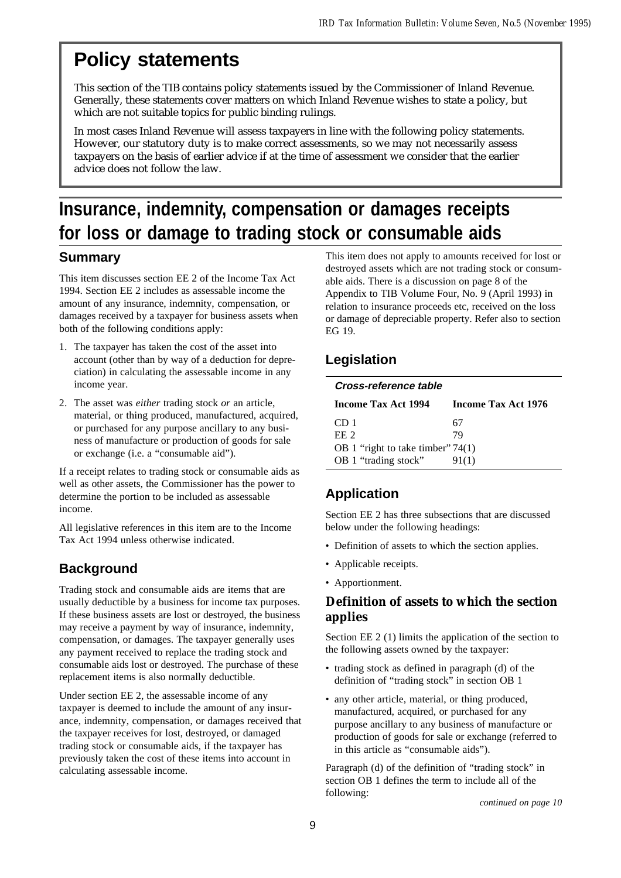# **Policy statements**

This section of the TIB contains policy statements issued by the Commissioner of Inland Revenue. Generally, these statements cover matters on which Inland Revenue wishes to state a policy, but which are not suitable topics for public binding rulings.

In most cases Inland Revenue will assess taxpayers in line with the following policy statements. However, our statutory duty is to make correct assessments, so we may not necessarily assess taxpayers on the basis of earlier advice if at the time of assessment we consider that the earlier advice does not follow the law.

# **Insurance, indemnity, compensation or damages receipts for loss or damage to trading stock or consumable aids**

# **Summary**

This item discusses section EE 2 of the Income Tax Act 1994. Section EE 2 includes as assessable income the amount of any insurance, indemnity, compensation, or damages received by a taxpayer for business assets when both of the following conditions apply:

- 1. The taxpayer has taken the cost of the asset into account (other than by way of a deduction for depreciation) in calculating the assessable income in any income year.
- 2. The asset was *either* trading stock *or* an article, material, or thing produced, manufactured, acquired, or purchased for any purpose ancillary to any business of manufacture or production of goods for sale or exchange (i.e. a "consumable aid").

If a receipt relates to trading stock or consumable aids as well as other assets, the Commissioner has the power to determine the portion to be included as assessable income.

All legislative references in this item are to the Income Tax Act 1994 unless otherwise indicated.

# **Background**

Trading stock and consumable aids are items that are usually deductible by a business for income tax purposes. If these business assets are lost or destroyed, the business may receive a payment by way of insurance, indemnity, compensation, or damages. The taxpayer generally uses any payment received to replace the trading stock and consumable aids lost or destroyed. The purchase of these replacement items is also normally deductible.

Under section EE 2, the assessable income of any taxpayer is deemed to include the amount of any insurance, indemnity, compensation, or damages received that the taxpayer receives for lost, destroyed, or damaged trading stock or consumable aids, if the taxpayer has previously taken the cost of these items into account in calculating assessable income.

This item does not apply to amounts received for lost or destroyed assets which are not trading stock or consumable aids. There is a discussion on page 8 of the Appendix to TIB Volume Four, No. 9 (April 1993) in relation to insurance proceeds etc, received on the loss or damage of depreciable property. Refer also to section EG 19.

# **Legislation**

| Cross-reference table               |                     |  |  |
|-------------------------------------|---------------------|--|--|
| <b>Income Tax Act 1994</b>          | Income Tax Act 1976 |  |  |
| CD 1                                | 67                  |  |  |
| EE <sub>2</sub>                     | 79                  |  |  |
| OB 1 "right to take timber" $74(1)$ |                     |  |  |
| OB 1 "trading stock"                | 91(1)               |  |  |

# **Application**

Section EE 2 has three subsections that are discussed below under the following headings:

- Definition of assets to which the section applies.
- Applicable receipts.
- Apportionment.

## **Definition of assets to which the section applies**

Section EE 2 (1) limits the application of the section to the following assets owned by the taxpayer:

- trading stock as defined in paragraph (d) of the definition of "trading stock" in section OB 1
- any other article, material, or thing produced, manufactured, acquired, or purchased for any purpose ancillary to any business of manufacture or production of goods for sale or exchange (referred to in this article as "consumable aids").

Paragraph (d) of the definition of "trading stock" in section OB 1 defines the term to include all of the following: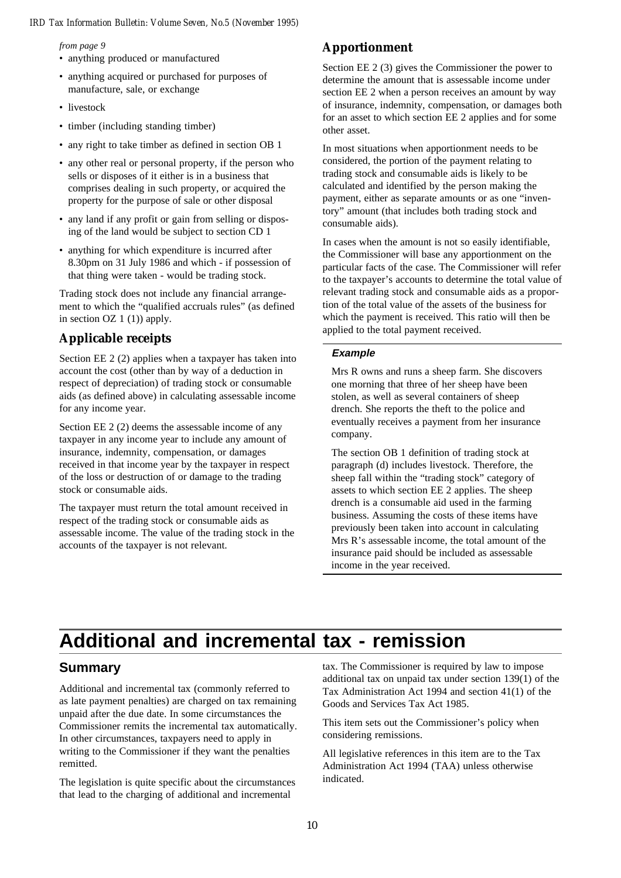*from page 9*

- anything produced or manufactured
- anything acquired or purchased for purposes of manufacture, sale, or exchange
- livestock
- timber (including standing timber)
- any right to take timber as defined in section OB 1
- any other real or personal property, if the person who sells or disposes of it either is in a business that comprises dealing in such property, or acquired the property for the purpose of sale or other disposal
- any land if any profit or gain from selling or disposing of the land would be subject to section CD 1
- anything for which expenditure is incurred after 8.30pm on 31 July 1986 and which - if possession of that thing were taken - would be trading stock.

Trading stock does not include any financial arrangement to which the "qualified accruals rules" (as defined in section OZ  $1(1)$ ) apply.

# **Applicable receipts**

Section EE 2 (2) applies when a taxpayer has taken into account the cost (other than by way of a deduction in respect of depreciation) of trading stock or consumable aids (as defined above) in calculating assessable income for any income year.

Section EE 2 (2) deems the assessable income of any taxpayer in any income year to include any amount of insurance, indemnity, compensation, or damages received in that income year by the taxpayer in respect of the loss or destruction of or damage to the trading stock or consumable aids.

The taxpayer must return the total amount received in respect of the trading stock or consumable aids as assessable income. The value of the trading stock in the accounts of the taxpayer is not relevant.

## **Apportionment**

Section EE 2 (3) gives the Commissioner the power to determine the amount that is assessable income under section EE 2 when a person receives an amount by way of insurance, indemnity, compensation, or damages both for an asset to which section EE 2 applies and for some other asset.

In most situations when apportionment needs to be considered, the portion of the payment relating to trading stock and consumable aids is likely to be calculated and identified by the person making the payment, either as separate amounts or as one "inventory" amount (that includes both trading stock and consumable aids).

In cases when the amount is not so easily identifiable, the Commissioner will base any apportionment on the particular facts of the case. The Commissioner will refer to the taxpayer's accounts to determine the total value of relevant trading stock and consumable aids as a proportion of the total value of the assets of the business for which the payment is received. This ratio will then be applied to the total payment received.

### **Example**

Mrs R owns and runs a sheep farm. She discovers one morning that three of her sheep have been stolen, as well as several containers of sheep drench. She reports the theft to the police and eventually receives a payment from her insurance company.

The section OB 1 definition of trading stock at paragraph (d) includes livestock. Therefore, the sheep fall within the "trading stock" category of assets to which section EE 2 applies. The sheep drench is a consumable aid used in the farming business. Assuming the costs of these items have previously been taken into account in calculating Mrs R's assessable income, the total amount of the insurance paid should be included as assessable income in the year received.

# **Additional and incremental tax - remission**

## **Summary**

Additional and incremental tax (commonly referred to as late payment penalties) are charged on tax remaining unpaid after the due date. In some circumstances the Commissioner remits the incremental tax automatically. In other circumstances, taxpayers need to apply in writing to the Commissioner if they want the penalties remitted.

The legislation is quite specific about the circumstances that lead to the charging of additional and incremental

tax. The Commissioner is required by law to impose additional tax on unpaid tax under section 139(1) of the Tax Administration Act 1994 and section 41(1) of the Goods and Services Tax Act 1985.

This item sets out the Commissioner's policy when considering remissions.

All legislative references in this item are to the Tax Administration Act 1994 (TAA) unless otherwise indicated.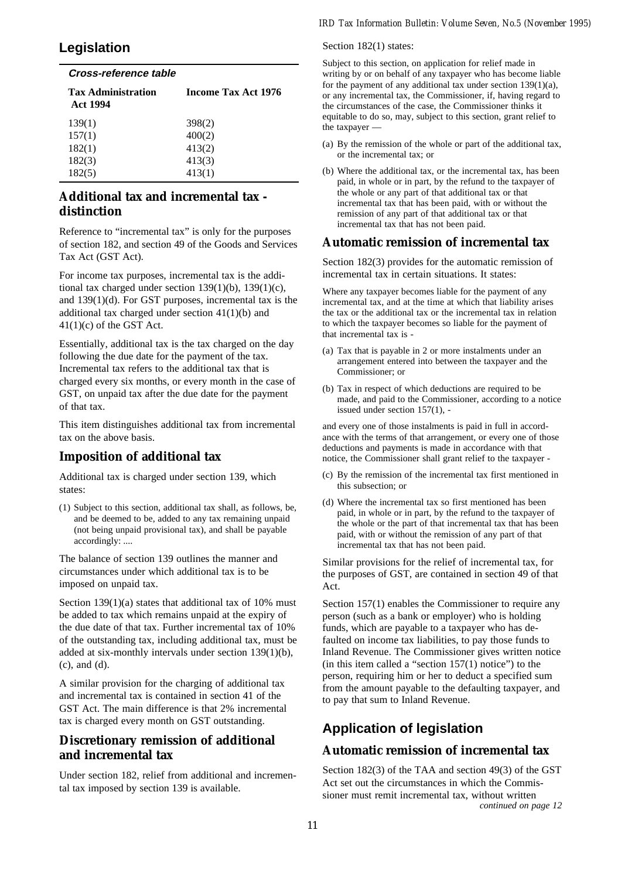# **Legislation**

# **Cross-reference table**

| <b>Tax Administration</b><br><b>Act 1994</b> | <b>Income Tax Act 1976</b> |
|----------------------------------------------|----------------------------|
| 139(1)                                       | 398 <sub>(2)</sub>         |
| 157(1)                                       | 400(2)                     |
| 182(1)                                       | 413(2)                     |
| 182(3)                                       | 413(3)                     |
| 182(5)                                       | 413(1)                     |

# **Additional tax and incremental tax distinction**

Reference to "incremental tax" is only for the purposes of section 182, and section 49 of the Goods and Services Tax Act (GST Act).

For income tax purposes, incremental tax is the additional tax charged under section  $139(1)(b)$ ,  $139(1)(c)$ , and 139(1)(d). For GST purposes, incremental tax is the additional tax charged under section 41(1)(b) and  $41(1)(c)$  of the GST Act.

Essentially, additional tax is the tax charged on the day following the due date for the payment of the tax. Incremental tax refers to the additional tax that is charged every six months, or every month in the case of GST, on unpaid tax after the due date for the payment of that tax.

This item distinguishes additional tax from incremental tax on the above basis.

## **Imposition of additional tax**

Additional tax is charged under section 139, which states:

(1) Subject to this section, additional tax shall, as follows, be, and be deemed to be, added to any tax remaining unpaid (not being unpaid provisional tax), and shall be payable accordingly: ....

The balance of section 139 outlines the manner and circumstances under which additional tax is to be imposed on unpaid tax.

Section 139(1)(a) states that additional tax of 10% must be added to tax which remains unpaid at the expiry of the due date of that tax. Further incremental tax of 10% of the outstanding tax, including additional tax, must be added at six-monthly intervals under section 139(1)(b), (c), and (d).

A similar provision for the charging of additional tax and incremental tax is contained in section 41 of the GST Act. The main difference is that 2% incremental tax is charged every month on GST outstanding.

# **Discretionary remission of additional and incremental tax**

Under section 182, relief from additional and incremental tax imposed by section 139 is available.

#### Section 182(1) states:

Subject to this section, on application for relief made in writing by or on behalf of any taxpayer who has become liable for the payment of any additional tax under section  $139(1)(a)$ , or any incremental tax, the Commissioner, if, having regard to the circumstances of the case, the Commissioner thinks it equitable to do so, may, subject to this section, grant relief to the taxpayer —

- (a) By the remission of the whole or part of the additional tax, or the incremental tax; or
- (b) Where the additional tax, or the incremental tax, has been paid, in whole or in part, by the refund to the taxpayer of the whole or any part of that additional tax or that incremental tax that has been paid, with or without the remission of any part of that additional tax or that incremental tax that has not been paid.

### **Automatic remission of incremental tax**

Section 182(3) provides for the automatic remission of incremental tax in certain situations. It states:

Where any taxpayer becomes liable for the payment of any incremental tax, and at the time at which that liability arises the tax or the additional tax or the incremental tax in relation to which the taxpayer becomes so liable for the payment of that incremental tax is -

- (a) Tax that is payable in 2 or more instalments under an arrangement entered into between the taxpayer and the Commissioner; or
- (b) Tax in respect of which deductions are required to be made, and paid to the Commissioner, according to a notice issued under section 157(1), -

and every one of those instalments is paid in full in accordance with the terms of that arrangement, or every one of those deductions and payments is made in accordance with that notice, the Commissioner shall grant relief to the taxpayer -

- (c) By the remission of the incremental tax first mentioned in this subsection; or
- (d) Where the incremental tax so first mentioned has been paid, in whole or in part, by the refund to the taxpayer of the whole or the part of that incremental tax that has been paid, with or without the remission of any part of that incremental tax that has not been paid.

Similar provisions for the relief of incremental tax, for the purposes of GST, are contained in section 49 of that Act.

Section 157(1) enables the Commissioner to require any person (such as a bank or employer) who is holding funds, which are payable to a taxpayer who has defaulted on income tax liabilities, to pay those funds to Inland Revenue. The Commissioner gives written notice (in this item called a "section  $157(1)$  notice") to the person, requiring him or her to deduct a specified sum from the amount payable to the defaulting taxpayer, and to pay that sum to Inland Revenue.

# **Application of legislation**

### **Automatic remission of incremental tax**

Section 182(3) of the TAA and section 49(3) of the GST Act set out the circumstances in which the Commissioner must remit incremental tax, without written *continued on page 12*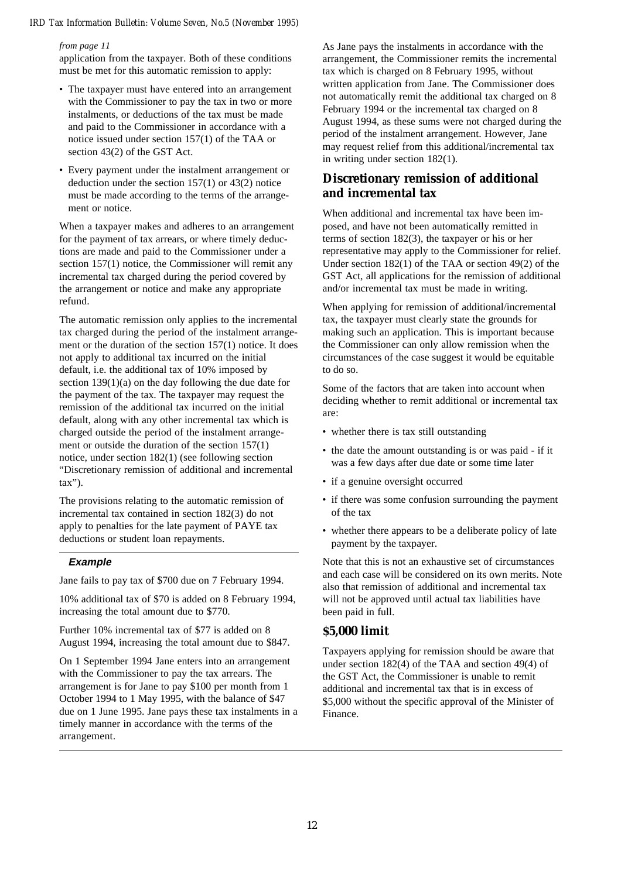#### *from page 11*

application from the taxpayer. Both of these conditions must be met for this automatic remission to apply:

- The taxpayer must have entered into an arrangement with the Commissioner to pay the tax in two or more instalments, or deductions of the tax must be made and paid to the Commissioner in accordance with a notice issued under section 157(1) of the TAA or section 43(2) of the GST Act.
- Every payment under the instalment arrangement or deduction under the section 157(1) or 43(2) notice must be made according to the terms of the arrangement or notice.

When a taxpayer makes and adheres to an arrangement for the payment of tax arrears, or where timely deductions are made and paid to the Commissioner under a section 157(1) notice, the Commissioner will remit any incremental tax charged during the period covered by the arrangement or notice and make any appropriate refund.

The automatic remission only applies to the incremental tax charged during the period of the instalment arrangement or the duration of the section 157(1) notice. It does not apply to additional tax incurred on the initial default, i.e. the additional tax of 10% imposed by section  $139(1)(a)$  on the day following the due date for the payment of the tax. The taxpayer may request the remission of the additional tax incurred on the initial default, along with any other incremental tax which is charged outside the period of the instalment arrangement or outside the duration of the section 157(1) notice, under section 182(1) (see following section "Discretionary remission of additional and incremental tax").

The provisions relating to the automatic remission of incremental tax contained in section 182(3) do not apply to penalties for the late payment of PAYE tax deductions or student loan repayments.

#### **Example**

Jane fails to pay tax of \$700 due on 7 February 1994.

10% additional tax of \$70 is added on 8 February 1994, increasing the total amount due to \$770.

Further 10% incremental tax of \$77 is added on 8 August 1994, increasing the total amount due to \$847.

On 1 September 1994 Jane enters into an arrangement with the Commissioner to pay the tax arrears. The arrangement is for Jane to pay \$100 per month from 1 October 1994 to 1 May 1995, with the balance of \$47 due on 1 June 1995. Jane pays these tax instalments in a timely manner in accordance with the terms of the arrangement.

As Jane pays the instalments in accordance with the arrangement, the Commissioner remits the incremental tax which is charged on 8 February 1995, without written application from Jane. The Commissioner does not automatically remit the additional tax charged on 8 February 1994 or the incremental tax charged on 8 August 1994, as these sums were not charged during the period of the instalment arrangement. However, Jane may request relief from this additional/incremental tax in writing under section 182(1).

### **Discretionary remission of additional and incremental tax**

When additional and incremental tax have been imposed, and have not been automatically remitted in terms of section 182(3), the taxpayer or his or her representative may apply to the Commissioner for relief. Under section 182(1) of the TAA or section 49(2) of the GST Act, all applications for the remission of additional and/or incremental tax must be made in writing.

When applying for remission of additional/incremental tax, the taxpayer must clearly state the grounds for making such an application. This is important because the Commissioner can only allow remission when the circumstances of the case suggest it would be equitable to do so.

Some of the factors that are taken into account when deciding whether to remit additional or incremental tax are:

- whether there is tax still outstanding
- the date the amount outstanding is or was paid if it was a few days after due date or some time later
- if a genuine oversight occurred
- if there was some confusion surrounding the payment of the tax
- whether there appears to be a deliberate policy of late payment by the taxpayer.

Note that this is not an exhaustive set of circumstances and each case will be considered on its own merits. Note also that remission of additional and incremental tax will not be approved until actual tax liabilities have been paid in full.

### **\$5,000 limit**

Taxpayers applying for remission should be aware that under section 182(4) of the TAA and section 49(4) of the GST Act, the Commissioner is unable to remit additional and incremental tax that is in excess of \$5,000 without the specific approval of the Minister of Finance.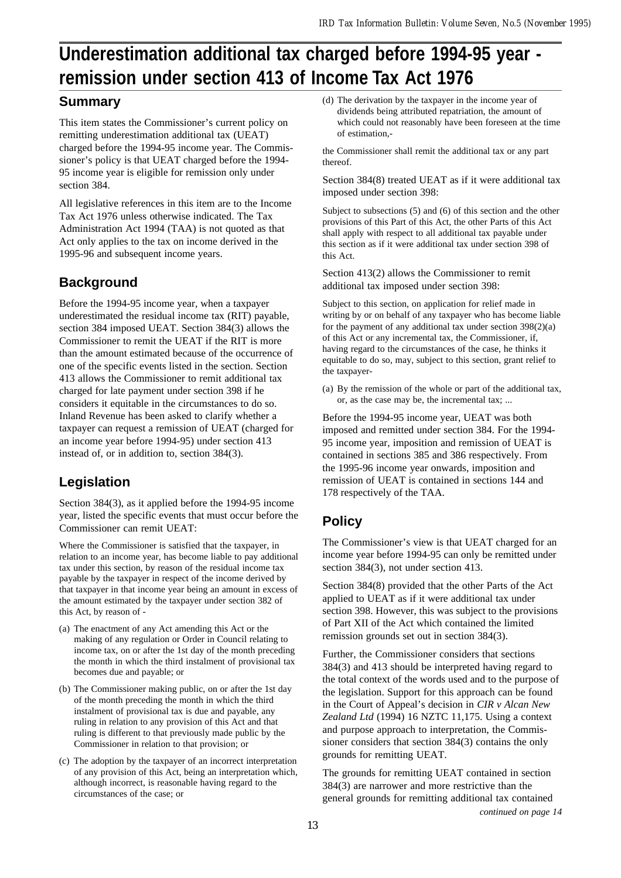# **Underestimation additional tax charged before 1994-95 year remission under section 413 of Income Tax Act 1976**

# **Summary**

This item states the Commissioner's current policy on remitting underestimation additional tax (UEAT) charged before the 1994-95 income year. The Commissioner's policy is that UEAT charged before the 1994- 95 income year is eligible for remission only under section 384.

All legislative references in this item are to the Income Tax Act 1976 unless otherwise indicated. The Tax Administration Act 1994 (TAA) is not quoted as that Act only applies to the tax on income derived in the 1995-96 and subsequent income years.

# **Background**

Before the 1994-95 income year, when a taxpayer underestimated the residual income tax (RIT) payable, section 384 imposed UEAT. Section 384(3) allows the Commissioner to remit the UEAT if the RIT is more than the amount estimated because of the occurrence of one of the specific events listed in the section. Section 413 allows the Commissioner to remit additional tax charged for late payment under section 398 if he considers it equitable in the circumstances to do so. Inland Revenue has been asked to clarify whether a taxpayer can request a remission of UEAT (charged for an income year before 1994-95) under section 413 instead of, or in addition to, section 384(3).

# **Legislation**

Section 384(3), as it applied before the 1994-95 income year, listed the specific events that must occur before the Commissioner can remit UEAT:

Where the Commissioner is satisfied that the taxpayer, in relation to an income year, has become liable to pay additional tax under this section, by reason of the residual income tax payable by the taxpayer in respect of the income derived by that taxpayer in that income year being an amount in excess of the amount estimated by the taxpayer under section 382 of this Act, by reason of -

- (a) The enactment of any Act amending this Act or the making of any regulation or Order in Council relating to income tax, on or after the 1st day of the month preceding the month in which the third instalment of provisional tax becomes due and payable; or
- (b) The Commissioner making public, on or after the 1st day of the month preceding the month in which the third instalment of provisional tax is due and payable, any ruling in relation to any provision of this Act and that ruling is different to that previously made public by the Commissioner in relation to that provision; or
- (c) The adoption by the taxpayer of an incorrect interpretation of any provision of this Act, being an interpretation which, although incorrect, is reasonable having regard to the circumstances of the case; or

(d) The derivation by the taxpayer in the income year of dividends being attributed repatriation, the amount of which could not reasonably have been foreseen at the time of estimation,-

the Commissioner shall remit the additional tax or any part thereof.

Section 384(8) treated UEAT as if it were additional tax imposed under section 398:

Subject to subsections (5) and (6) of this section and the other provisions of this Part of this Act, the other Parts of this Act shall apply with respect to all additional tax payable under this section as if it were additional tax under section 398 of this Act.

Section 413(2) allows the Commissioner to remit additional tax imposed under section 398:

Subject to this section, on application for relief made in writing by or on behalf of any taxpayer who has become liable for the payment of any additional tax under section 398(2)(a) of this Act or any incremental tax, the Commissioner, if, having regard to the circumstances of the case, he thinks it equitable to do so, may, subject to this section, grant relief to the taxpayer-

(a) By the remission of the whole or part of the additional tax, or, as the case may be, the incremental tax; ...

Before the 1994-95 income year, UEAT was both imposed and remitted under section 384. For the 1994- 95 income year, imposition and remission of UEAT is contained in sections 385 and 386 respectively. From the 1995-96 income year onwards, imposition and remission of UEAT is contained in sections 144 and 178 respectively of the TAA.

# **Policy**

The Commissioner's view is that UEAT charged for an income year before 1994-95 can only be remitted under section 384(3), not under section 413.

Section 384(8) provided that the other Parts of the Act applied to UEAT as if it were additional tax under section 398. However, this was subject to the provisions of Part XII of the Act which contained the limited remission grounds set out in section 384(3).

Further, the Commissioner considers that sections 384(3) and 413 should be interpreted having regard to the total context of the words used and to the purpose of the legislation. Support for this approach can be found in the Court of Appeal's decision in *CIR v Alcan New Zealand Ltd* (1994) 16 NZTC 11,175. Using a context and purpose approach to interpretation, the Commissioner considers that section 384(3) contains the only grounds for remitting UEAT.

The grounds for remitting UEAT contained in section 384(3) are narrower and more restrictive than the general grounds for remitting additional tax contained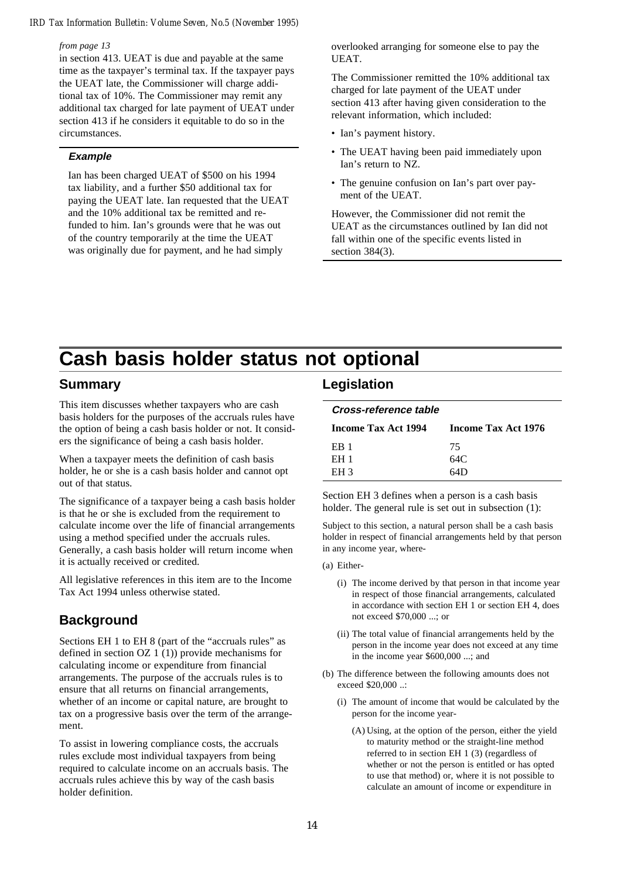#### *from page 13*

in section 413. UEAT is due and payable at the same time as the taxpayer's terminal tax. If the taxpayer pays the UEAT late, the Commissioner will charge additional tax of 10%. The Commissioner may remit any additional tax charged for late payment of UEAT under section 413 if he considers it equitable to do so in the circumstances.

### **Example**

Ian has been charged UEAT of \$500 on his 1994 tax liability, and a further \$50 additional tax for paying the UEAT late. Ian requested that the UEAT and the 10% additional tax be remitted and refunded to him. Ian's grounds were that he was out of the country temporarily at the time the UEAT was originally due for payment, and he had simply

overlooked arranging for someone else to pay the UEAT.

The Commissioner remitted the 10% additional tax charged for late payment of the UEAT under section 413 after having given consideration to the relevant information, which included:

- Ian's payment history.
- The UEAT having been paid immediately upon Ian's return to NZ.
- The genuine confusion on Ian's part over payment of the UEAT.

However, the Commissioner did not remit the UEAT as the circumstances outlined by Ian did not fall within one of the specific events listed in section 384(3).

# **Cash basis holder status not optional**

### **Summary**

This item discusses whether taxpayers who are cash basis holders for the purposes of the accruals rules have the option of being a cash basis holder or not. It considers the significance of being a cash basis holder.

When a taxpayer meets the definition of cash basis holder, he or she is a cash basis holder and cannot opt out of that status.

The significance of a taxpayer being a cash basis holder is that he or she is excluded from the requirement to calculate income over the life of financial arrangements using a method specified under the accruals rules. Generally, a cash basis holder will return income when it is actually received or credited.

All legislative references in this item are to the Income Tax Act 1994 unless otherwise stated.

## **Background**

Sections EH 1 to EH 8 (part of the "accruals rules" as defined in section OZ 1 (1)) provide mechanisms for calculating income or expenditure from financial arrangements. The purpose of the accruals rules is to ensure that all returns on financial arrangements, whether of an income or capital nature, are brought to tax on a progressive basis over the term of the arrangement.

To assist in lowering compliance costs, the accruals rules exclude most individual taxpayers from being required to calculate income on an accruals basis. The accruals rules achieve this by way of the cash basis holder definition.

### **Legislation**

| Cross-reference table |  |
|-----------------------|--|
|                       |  |

| <b>Income Tax Act 1994</b> | Income Tax Act 1976 |
|----------------------------|---------------------|
| ER 1                       | 75                  |
| <b>EH1</b>                 | 64C.                |
| EH <sub>3</sub>            | 64D                 |

Section EH 3 defines when a person is a cash basis holder. The general rule is set out in subsection  $(1)$ :

Subject to this section, a natural person shall be a cash basis holder in respect of financial arrangements held by that person in any income year, where-

- (a) Either-
	- (i) The income derived by that person in that income year in respect of those financial arrangements, calculated in accordance with section EH 1 or section EH 4, does not exceed \$70,000 ...; or
	- (ii) The total value of financial arrangements held by the person in the income year does not exceed at any time in the income year \$600,000 ...; and
- (b) The difference between the following amounts does not exceed \$20,000 ..:
	- (i) The amount of income that would be calculated by the person for the income year-
		- (A) Using, at the option of the person, either the yield to maturity method or the straight-line method referred to in section EH 1 (3) (regardless of whether or not the person is entitled or has opted to use that method) or, where it is not possible to calculate an amount of income or expenditure in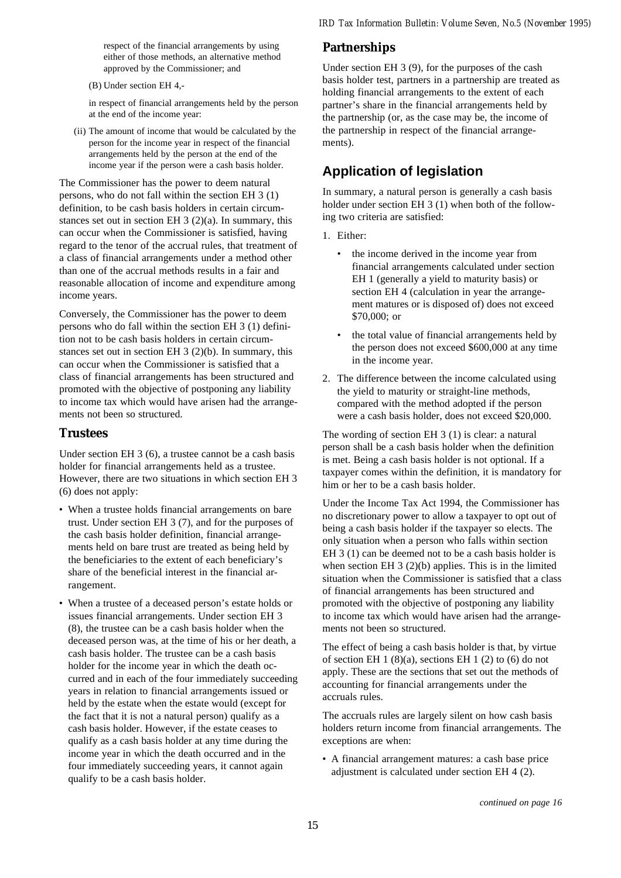respect of the financial arrangements by using either of those methods, an alternative method approved by the Commissioner; and

(B) Under section EH 4,-

in respect of financial arrangements held by the person at the end of the income year:

(ii) The amount of income that would be calculated by the person for the income year in respect of the financial arrangements held by the person at the end of the income year if the person were a cash basis holder.

The Commissioner has the power to deem natural persons, who do not fall within the section EH 3 (1) definition, to be cash basis holders in certain circumstances set out in section EH 3 (2)(a). In summary, this can occur when the Commissioner is satisfied, having regard to the tenor of the accrual rules, that treatment of a class of financial arrangements under a method other than one of the accrual methods results in a fair and reasonable allocation of income and expenditure among income years.

Conversely, the Commissioner has the power to deem persons who do fall within the section EH 3 (1) definition not to be cash basis holders in certain circumstances set out in section EH 3 (2)(b). In summary, this can occur when the Commissioner is satisfied that a class of financial arrangements has been structured and promoted with the objective of postponing any liability to income tax which would have arisen had the arrangements not been so structured.

### **Trustees**

Under section EH 3 (6), a trustee cannot be a cash basis holder for financial arrangements held as a trustee. However, there are two situations in which section EH 3 (6) does not apply:

- When a trustee holds financial arrangements on bare trust. Under section EH 3 (7), and for the purposes of the cash basis holder definition, financial arrangements held on bare trust are treated as being held by the beneficiaries to the extent of each beneficiary's share of the beneficial interest in the financial arrangement.
- When a trustee of a deceased person's estate holds or issues financial arrangements. Under section EH 3 (8), the trustee can be a cash basis holder when the deceased person was, at the time of his or her death, a cash basis holder. The trustee can be a cash basis holder for the income year in which the death occurred and in each of the four immediately succeeding years in relation to financial arrangements issued or held by the estate when the estate would (except for the fact that it is not a natural person) qualify as a cash basis holder. However, if the estate ceases to qualify as a cash basis holder at any time during the income year in which the death occurred and in the four immediately succeeding years, it cannot again qualify to be a cash basis holder.

## **Partnerships**

Under section EH 3 (9), for the purposes of the cash basis holder test, partners in a partnership are treated as holding financial arrangements to the extent of each partner's share in the financial arrangements held by the partnership (or, as the case may be, the income of the partnership in respect of the financial arrangements).

# **Application of legislation**

In summary, a natural person is generally a cash basis holder under section EH 3 (1) when both of the following two criteria are satisfied:

- 1. Either:
	- the income derived in the income year from financial arrangements calculated under section EH 1 (generally a yield to maturity basis) or section EH 4 (calculation in year the arrangement matures or is disposed of) does not exceed \$70,000; or
	- the total value of financial arrangements held by the person does not exceed \$600,000 at any time in the income year.
- 2. The difference between the income calculated using the yield to maturity or straight-line methods, compared with the method adopted if the person were a cash basis holder, does not exceed \$20,000.

The wording of section EH 3 (1) is clear: a natural person shall be a cash basis holder when the definition is met. Being a cash basis holder is not optional. If a taxpayer comes within the definition, it is mandatory for him or her to be a cash basis holder.

Under the Income Tax Act 1994, the Commissioner has no discretionary power to allow a taxpayer to opt out of being a cash basis holder if the taxpayer so elects. The only situation when a person who falls within section EH 3 (1) can be deemed not to be a cash basis holder is when section EH 3 (2)(b) applies. This is in the limited situation when the Commissioner is satisfied that a class of financial arrangements has been structured and promoted with the objective of postponing any liability to income tax which would have arisen had the arrangements not been so structured.

The effect of being a cash basis holder is that, by virtue of section EH  $1(8)(a)$ , sections EH  $1(2)$  to (6) do not apply. These are the sections that set out the methods of accounting for financial arrangements under the accruals rules.

The accruals rules are largely silent on how cash basis holders return income from financial arrangements. The exceptions are when:

• A financial arrangement matures: a cash base price adjustment is calculated under section EH 4 (2).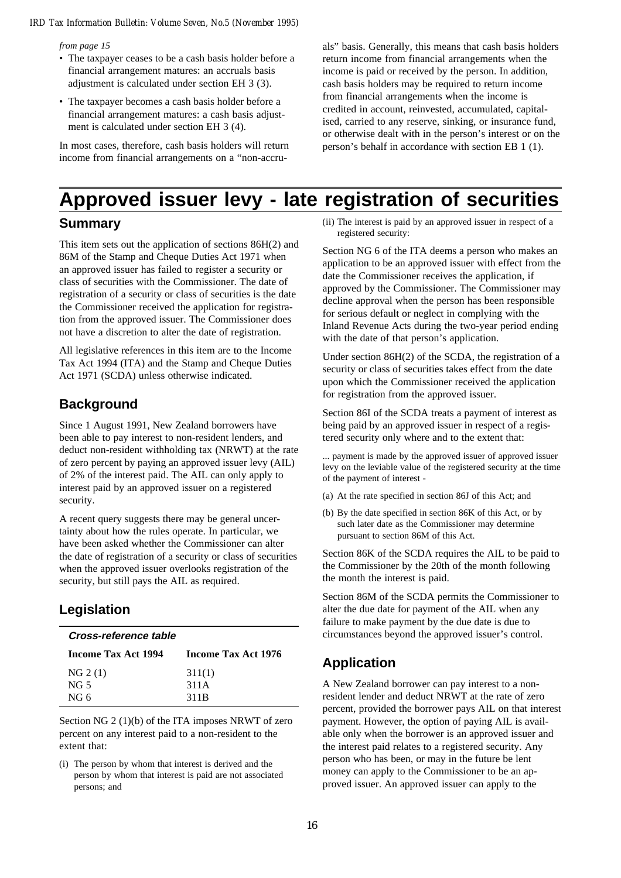#### *from page 15*

- The taxpayer ceases to be a cash basis holder before a financial arrangement matures: an accruals basis adjustment is calculated under section EH 3 (3).
- The taxpayer becomes a cash basis holder before a financial arrangement matures: a cash basis adjustment is calculated under section EH 3 (4).

In most cases, therefore, cash basis holders will return income from financial arrangements on a "non-accru-

als" basis. Generally, this means that cash basis holders return income from financial arrangements when the income is paid or received by the person. In addition, cash basis holders may be required to return income from financial arrangements when the income is credited in account, reinvested, accumulated, capitalised, carried to any reserve, sinking, or insurance fund, or otherwise dealt with in the person's interest or on the person's behalf in accordance with section EB 1 (1).

# **Approved issuer levy - late registration of securities**

### **Summary**

This item sets out the application of sections 86H(2) and 86M of the Stamp and Cheque Duties Act 1971 when an approved issuer has failed to register a security or class of securities with the Commissioner. The date of registration of a security or class of securities is the date the Commissioner received the application for registration from the approved issuer. The Commissioner does not have a discretion to alter the date of registration.

All legislative references in this item are to the Income Tax Act 1994 (ITA) and the Stamp and Cheque Duties Act 1971 (SCDA) unless otherwise indicated.

## **Background**

Since 1 August 1991, New Zealand borrowers have been able to pay interest to non-resident lenders, and deduct non-resident withholding tax (NRWT) at the rate of zero percent by paying an approved issuer levy (AIL) of 2% of the interest paid. The AIL can only apply to interest paid by an approved issuer on a registered security.

A recent query suggests there may be general uncertainty about how the rules operate. In particular, we have been asked whether the Commissioner can alter the date of registration of a security or class of securities when the approved issuer overlooks registration of the security, but still pays the AIL as required.

# **Legislation**

| Cross-reference table |                     |  |
|-----------------------|---------------------|--|
| Income Tax Act 1994   | Income Tax Act 1976 |  |
| NG 2 (1)              | 311(1)              |  |
| NG 5                  | 311A                |  |
| NG <sub>6</sub>       | 311B                |  |

Section NG 2 (1)(b) of the ITA imposes NRWT of zero percent on any interest paid to a non-resident to the extent that:

(i) The person by whom that interest is derived and the person by whom that interest is paid are not associated persons; and

(ii) The interest is paid by an approved issuer in respect of a registered security:

Section NG 6 of the ITA deems a person who makes an application to be an approved issuer with effect from the date the Commissioner receives the application, if approved by the Commissioner. The Commissioner may decline approval when the person has been responsible for serious default or neglect in complying with the Inland Revenue Acts during the two-year period ending with the date of that person's application.

Under section 86H(2) of the SCDA, the registration of a security or class of securities takes effect from the date upon which the Commissioner received the application for registration from the approved issuer.

Section 86I of the SCDA treats a payment of interest as being paid by an approved issuer in respect of a registered security only where and to the extent that:

... payment is made by the approved issuer of approved issuer levy on the leviable value of the registered security at the time of the payment of interest -

- (a) At the rate specified in section 86J of this Act; and
- (b) By the date specified in section 86K of this Act, or by such later date as the Commissioner may determine pursuant to section 86M of this Act.

Section 86K of the SCDA requires the AIL to be paid to the Commissioner by the 20th of the month following the month the interest is paid.

Section 86M of the SCDA permits the Commissioner to alter the due date for payment of the AIL when any failure to make payment by the due date is due to circumstances beyond the approved issuer's control.

# **Application**

A New Zealand borrower can pay interest to a nonresident lender and deduct NRWT at the rate of zero percent, provided the borrower pays AIL on that interest payment. However, the option of paying AIL is available only when the borrower is an approved issuer and the interest paid relates to a registered security. Any person who has been, or may in the future be lent money can apply to the Commissioner to be an approved issuer. An approved issuer can apply to the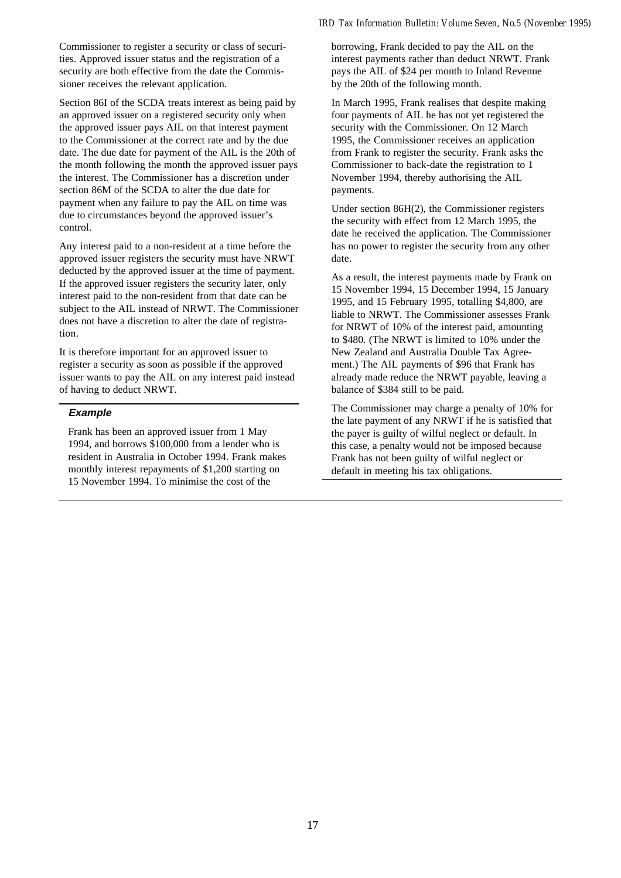Commissioner to register a security or class of securities. Approved issuer status and the registration of a security are both effective from the date the Commissioner receives the relevant application.

Section 86I of the SCDA treats interest as being paid by an approved issuer on a registered security only when the approved issuer pays AIL on that interest payment to the Commissioner at the correct rate and by the due date. The due date for payment of the AIL is the 20th of the month following the month the approved issuer pays the interest. The Commissioner has a discretion under section 86M of the SCDA to alter the due date for payment when any failure to pay the AIL on time was due to circumstances beyond the approved issuer's control.

Any interest paid to a non-resident at a time before the approved issuer registers the security must have NRWT deducted by the approved issuer at the time of payment. If the approved issuer registers the security later, only interest paid to the non-resident from that date can be subject to the AIL instead of NRWT. The Commissioner does not have a discretion to alter the date of registration.

It is therefore important for an approved issuer to register a security as soon as possible if the approved issuer wants to pay the AIL on any interest paid instead of having to deduct NRWT.

#### **Example**

Frank has been an approved issuer from 1 May 1994, and borrows \$100,000 from a lender who is resident in Australia in October 1994. Frank makes monthly interest repayments of \$1,200 starting on 15 November 1994. To minimise the cost of the

### *IRD Tax Information Bulletin: Volume Seven, No.5 (November 1995)*

borrowing, Frank decided to pay the AIL on the interest payments rather than deduct NRWT. Frank pays the AIL of \$24 per month to Inland Revenue by the 20th of the following month.

In March 1995, Frank realises that despite making four payments of AIL he has not yet registered the security with the Commissioner. On 12 March 1995, the Commissioner receives an application from Frank to register the security. Frank asks the Commissioner to back-date the registration to 1 November 1994, thereby authorising the AIL payments.

Under section 86H(2), the Commissioner registers the security with effect from 12 March 1995, the date he received the application. The Commissioner has no power to register the security from any other date.

As a result, the interest payments made by Frank on 15 November 1994, 15 December 1994, 15 January 1995, and 15 February 1995, totalling \$4,800, are liable to NRWT. The Commissioner assesses Frank for NRWT of 10% of the interest paid, amounting to \$480. (The NRWT is limited to 10% under the New Zealand and Australia Double Tax Agreement.) The AIL payments of \$96 that Frank has already made reduce the NRWT payable, leaving a balance of \$384 still to be paid.

The Commissioner may charge a penalty of 10% for the late payment of any NRWT if he is satisfied that the payer is guilty of wilful neglect or default. In this case, a penalty would not be imposed because Frank has not been guilty of wilful neglect or default in meeting his tax obligations.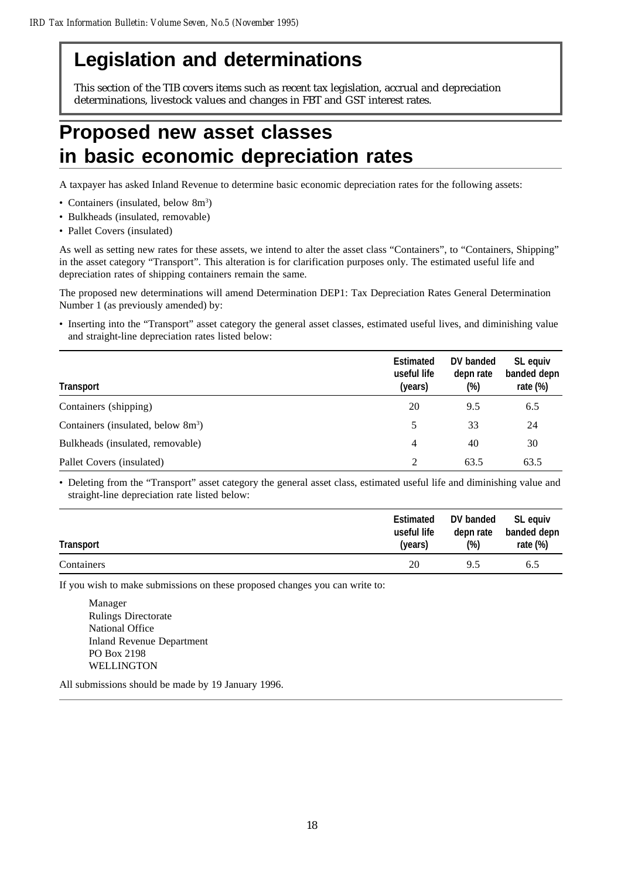# **Legislation and determinations**

This section of the TIB covers items such as recent tax legislation, accrual and depreciation determinations, livestock values and changes in FBT and GST interest rates.

# **Proposed new asset classes in basic economic depreciation rates**

A taxpayer has asked Inland Revenue to determine basic economic depreciation rates for the following assets:

- Containers (insulated, below 8m<sup>3</sup>)
- Bulkheads (insulated, removable)
- Pallet Covers (insulated)

As well as setting new rates for these assets, we intend to alter the asset class "Containers", to "Containers, Shipping" in the asset category "Transport". This alteration is for clarification purposes only. The estimated useful life and depreciation rates of shipping containers remain the same.

The proposed new determinations will amend Determination DEP1: Tax Depreciation Rates General Determination Number 1 (as previously amended) by:

• Inserting into the "Transport" asset category the general asset classes, estimated useful lives, and diminishing value and straight-line depreciation rates listed below:

| <b>Transport</b>                               | <b>Estimated</b><br>useful life<br>(years) | DV banded<br>depn rate<br>(%) | SL equiv<br>banded depn<br>rate $(\%)$ |
|------------------------------------------------|--------------------------------------------|-------------------------------|----------------------------------------|
| Containers (shipping)                          | 20                                         | 9.5                           | 6.5                                    |
| Containers (insulated, below 8m <sup>3</sup> ) | 5                                          | 33                            | 24                                     |
| Bulkheads (insulated, removable)               | 4                                          | 40                            | 30                                     |
| Pallet Covers (insulated)                      | $\mathfrak{D}$                             | 63.5                          | 63.5                                   |

• Deleting from the "Transport" asset category the general asset class, estimated useful life and diminishing value and straight-line depreciation rate listed below:

| <b>Transport</b> | <b>Estimated</b> | DV banded | SL equiv    |
|------------------|------------------|-----------|-------------|
|                  | useful life      | depn rate | banded depn |
|                  | (years)          | $(\%)$    | rate $(\%)$ |
| Containers       | 20               | 9.5       | 6.5         |

If you wish to make submissions on these proposed changes you can write to:

Manager Rulings Directorate National Office Inland Revenue Department PO Box 2198 WELLINGTON

All submissions should be made by 19 January 1996.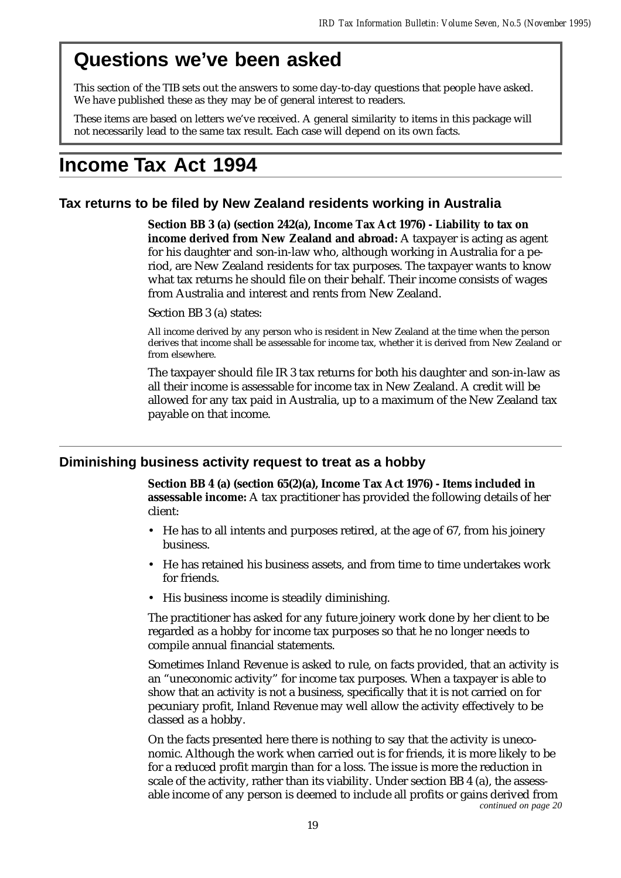# **Questions we've been asked**

This section of the TIB sets out the answers to some day-to-day questions that people have asked. We have published these as they may be of general interest to readers.

These items are based on letters we've received. A general similarity to items in this package will not necessarily lead to the same tax result. Each case will depend on its own facts.

# **Income Tax Act 1994**

# **Tax returns to be filed by New Zealand residents working in Australia**

**Section BB 3 (a) (section 242(a), Income Tax Act 1976) - Liability to tax on income derived from New Zealand and abroad:** A taxpayer is acting as agent for his daughter and son-in-law who, although working in Australia for a period, are New Zealand residents for tax purposes. The taxpayer wants to know what tax returns he should file on their behalf. Their income consists of wages from Australia and interest and rents from New Zealand.

Section BB 3 (a) states:

All income derived by any person who is resident in New Zealand at the time when the person derives that income shall be assessable for income tax, whether it is derived from New Zealand or from elsewhere.

The taxpayer should file IR 3 tax returns for both his daughter and son-in-law as all their income is assessable for income tax in New Zealand. A credit will be allowed for any tax paid in Australia, up to a maximum of the New Zealand tax payable on that income.

# **Diminishing business activity request to treat as a hobby**

**Section BB 4 (a) (section 65(2)(a), Income Tax Act 1976) - Items included in assessable income:** A tax practitioner has provided the following details of her client:

- He has to all intents and purposes retired, at the age of 67, from his joinery business.
- He has retained his business assets, and from time to time undertakes work for friends.
- His business income is steadily diminishing.

The practitioner has asked for any future joinery work done by her client to be regarded as a hobby for income tax purposes so that he no longer needs to compile annual financial statements.

Sometimes Inland Revenue is asked to rule, on facts provided, that an activity is an "uneconomic activity" for income tax purposes. When a taxpayer is able to show that an activity is not a business, specifically that it is not carried on for pecuniary profit, Inland Revenue may well allow the activity effectively to be classed as a hobby.

On the facts presented here there is nothing to say that the activity is uneconomic. Although the work when carried out is for friends, it is more likely to be for a reduced profit margin than for a loss. The issue is more the reduction in scale of the activity, rather than its viability. Under section BB 4 (a), the assessable income of any person is deemed to include all profits or gains derived from *continued on page 20*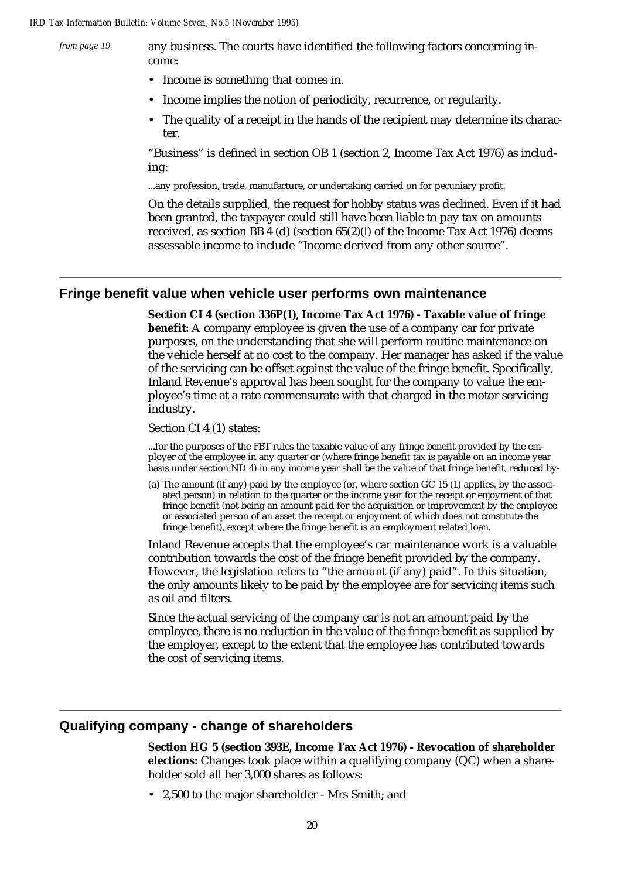*from page 19*

any business. The courts have identified the following factors concerning income:

- Income is something that comes in.
- Income implies the notion of periodicity, recurrence, or regularity.
- The quality of a receipt in the hands of the recipient may determine its character.

"Business" is defined in section OB 1 (section 2, Income Tax Act 1976) as including:

...any profession, trade, manufacture, or undertaking carried on for pecuniary profit.

On the details supplied, the request for hobby status was declined. Even if it had been granted, the taxpayer could still have been liable to pay tax on amounts received, as section BB 4 (d) (section 65(2)(l) of the Income Tax Act 1976) deems assessable income to include "Income derived from any other source".

### **Fringe benefit value when vehicle user performs own maintenance**

**Section CI 4 (section 336P(1), Income Tax Act 1976) - Taxable value of fringe benefit:** A company employee is given the use of a company car for private purposes, on the understanding that she will perform routine maintenance on the vehicle herself at no cost to the company. Her manager has asked if the value of the servicing can be offset against the value of the fringe benefit. Specifically, Inland Revenue's approval has been sought for the company to value the employee's time at a rate commensurate with that charged in the motor servicing industry.

Section CI 4 (1) states:

...for the purposes of the FBT rules the taxable value of any fringe benefit provided by the employer of the employee in any quarter or (where fringe benefit tax is payable on an income year basis under section ND 4) in any income year shall be the value of that fringe benefit, reduced by-

(a) The amount (if any) paid by the employee (or, where section GC 15 (1) applies, by the associated person) in relation to the quarter or the income year for the receipt or enjoyment of that fringe benefit (not being an amount paid for the acquisition or improvement by the employee or associated person of an asset the receipt or enjoyment of which does not constitute the fringe benefit), except where the fringe benefit is an employment related loan.

Inland Revenue accepts that the employee's car maintenance work is a valuable contribution towards the cost of the fringe benefit provided by the company. However, the legislation refers to "the amount (if any) paid". In this situation, the only amounts likely to be paid by the employee are for servicing items such as oil and filters.

Since the actual servicing of the company car is not an amount paid by the employee, there is no reduction in the value of the fringe benefit as supplied by the employer, except to the extent that the employee has contributed towards the cost of servicing items.

## **Qualifying company - change of shareholders**

**Section HG 5 (section 393E, Income Tax Act 1976) - Revocation of shareholder elections:** Changes took place within a qualifying company (QC) when a shareholder sold all her 3,000 shares as follows:

• 2,500 to the major shareholder - Mrs Smith; and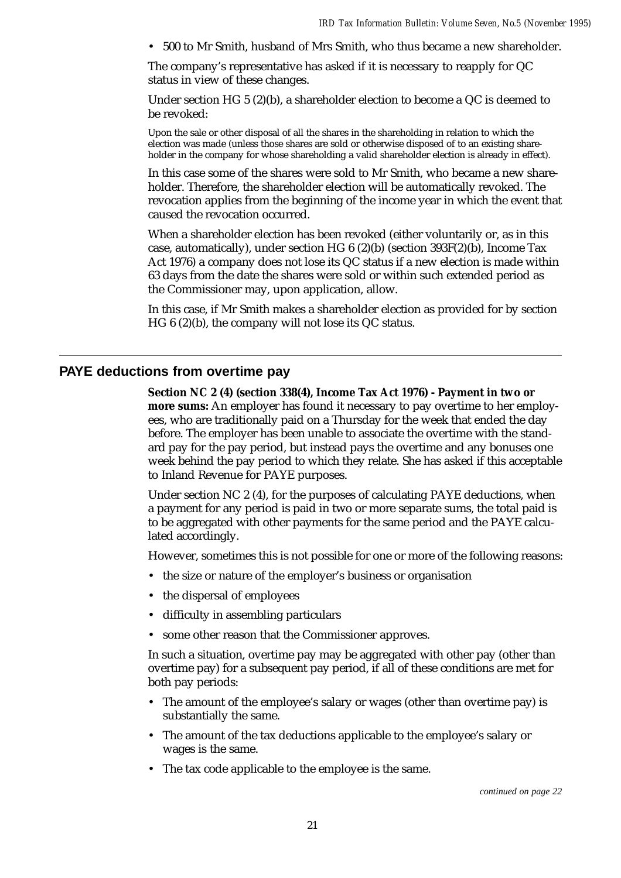• 500 to Mr Smith, husband of Mrs Smith, who thus became a new shareholder.

The company's representative has asked if it is necessary to reapply for QC status in view of these changes.

Under section HG 5 (2)(b), a shareholder election to become a QC is deemed to be revoked:

Upon the sale or other disposal of all the shares in the shareholding in relation to which the election was made (unless those shares are sold or otherwise disposed of to an existing shareholder in the company for whose shareholding a valid shareholder election is already in effect).

In this case some of the shares were sold to Mr Smith, who became a new shareholder. Therefore, the shareholder election will be automatically revoked. The revocation applies from the beginning of the income year in which the event that caused the revocation occurred.

When a shareholder election has been revoked (either voluntarily or, as in this case, automatically), under section HG 6 (2)(b) (section 393F(2)(b), Income Tax Act 1976) a company does not lose its QC status if a new election is made within 63 days from the date the shares were sold or within such extended period as the Commissioner may, upon application, allow.

In this case, if Mr Smith makes a shareholder election as provided for by section HG 6 (2)(b), the company will not lose its QC status.

### **PAYE deductions from overtime pay**

**Section NC 2 (4) (section 338(4), Income Tax Act 1976) - Payment in two or more sums:** An employer has found it necessary to pay overtime to her employees, who are traditionally paid on a Thursday for the week that ended the day before. The employer has been unable to associate the overtime with the standard pay for the pay period, but instead pays the overtime and any bonuses one week behind the pay period to which they relate. She has asked if this acceptable to Inland Revenue for PAYE purposes.

Under section NC 2 (4), for the purposes of calculating PAYE deductions, when a payment for any period is paid in two or more separate sums, the total paid is to be aggregated with other payments for the same period and the PAYE calculated accordingly.

However, sometimes this is not possible for one or more of the following reasons:

- the size or nature of the employer's business or organisation
- the dispersal of employees
- difficulty in assembling particulars
- some other reason that the Commissioner approves.

In such a situation, overtime pay may be aggregated with other pay (other than overtime pay) for a subsequent pay period, if all of these conditions are met for both pay periods:

- The amount of the employee's salary or wages (other than overtime pay) is substantially the same.
- The amount of the tax deductions applicable to the employee's salary or wages is the same.
- The tax code applicable to the employee is the same.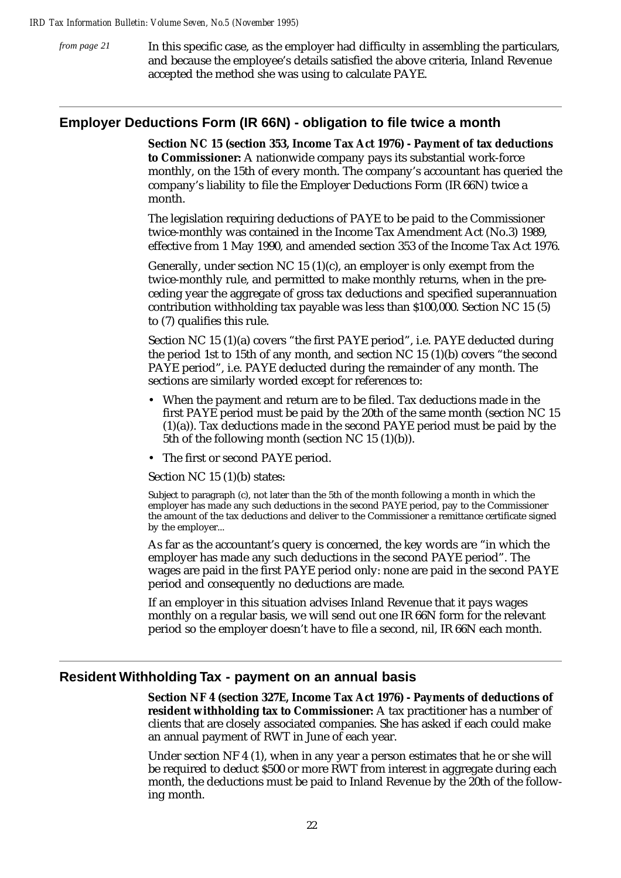In this specific case, as the employer had difficulty in assembling the particulars, and because the employee's details satisfied the above criteria, Inland Revenue accepted the method she was using to calculate PAYE. *from page 21*

### **Employer Deductions Form (IR 66N) - obligation to file twice a month**

**Section NC 15 (section 353, Income Tax Act 1976) - Payment of tax deductions to Commissioner:** A nationwide company pays its substantial work-force monthly, on the 15th of every month. The company's accountant has queried the company's liability to file the Employer Deductions Form (IR 66N) twice a month.

The legislation requiring deductions of PAYE to be paid to the Commissioner twice-monthly was contained in the Income Tax Amendment Act (No.3) 1989, effective from 1 May 1990, and amended section 353 of the Income Tax Act 1976.

Generally, under section NC 15 (1)(c), an employer is only exempt from the twice-monthly rule, and permitted to make monthly returns, when in the preceding year the aggregate of gross tax deductions and specified superannuation contribution withholding tax payable was less than \$100,000. Section NC 15 (5) to (7) qualifies this rule.

Section NC 15 (1)(a) covers "the first PAYE period", i.e. PAYE deducted during the period 1st to 15th of any month, and section NC 15 (1)(b) covers "the second PAYE period", i.e. PAYE deducted during the remainder of any month. The sections are similarly worded except for references to:

- When the payment and return are to be filed. Tax deductions made in the first PAYE period must be paid by the 20th of the same month (section NC 15  $(1)(a)$ ). Tax deductions made in the second PAYE period must be paid by the 5th of the following month (section NC 15 (1)(b)).
- The first or second PAYE period.

Section NC 15 (1)(b) states:

Subject to paragraph (c), not later than the 5th of the month following a month in which the employer has made any such deductions in the second PAYE period, pay to the Commissioner the amount of the tax deductions and deliver to the Commissioner a remittance certificate signed by the employer...

As far as the accountant's query is concerned, the key words are "in which the employer has made any such deductions in the second PAYE period". The wages are paid in the first PAYE period only: none are paid in the second PAYE period and consequently no deductions are made.

If an employer in this situation advises Inland Revenue that it pays wages monthly on a regular basis, we will send out one IR 66N form for the relevant period so the employer doesn't have to file a second, nil, IR 66N each month.

### **Resident Withholding Tax - payment on an annual basis**

**Section NF 4 (section 327E, Income Tax Act 1976) - Payments of deductions of resident withholding tax to Commissioner:** A tax practitioner has a number of clients that are closely associated companies. She has asked if each could make an annual payment of RWT in June of each year.

Under section NF 4 (1), when in any year a person estimates that he or she will be required to deduct \$500 or more RWT from interest in aggregate during each month, the deductions must be paid to Inland Revenue by the 20th of the following month.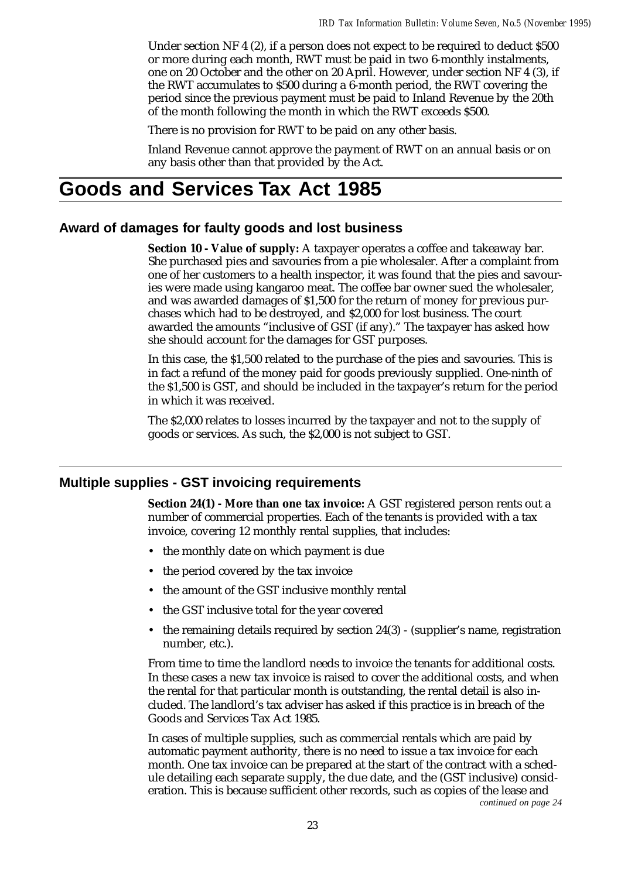Under section NF 4 (2), if a person does not expect to be required to deduct \$500 or more during each month, RWT must be paid in two 6-monthly instalments, one on 20 October and the other on 20 April. However, under section NF 4 (3), if the RWT accumulates to \$500 during a 6-month period, the RWT covering the period since the previous payment must be paid to Inland Revenue by the 20th of the month following the month in which the RWT exceeds \$500.

There is no provision for RWT to be paid on any other basis.

Inland Revenue cannot approve the payment of RWT on an annual basis or on any basis other than that provided by the Act.

# **Goods and Services Tax Act 1985**

## **Award of damages for faulty goods and lost business**

**Section 10 - Value of supply:** A taxpayer operates a coffee and takeaway bar. She purchased pies and savouries from a pie wholesaler. After a complaint from one of her customers to a health inspector, it was found that the pies and savouries were made using kangaroo meat. The coffee bar owner sued the wholesaler, and was awarded damages of \$1,500 for the return of money for previous purchases which had to be destroyed, and \$2,000 for lost business. The court awarded the amounts "inclusive of GST (if any)." The taxpayer has asked how she should account for the damages for GST purposes.

In this case, the \$1,500 related to the purchase of the pies and savouries. This is in fact a refund of the money paid for goods previously supplied. One-ninth of the \$1,500 is GST, and should be included in the taxpayer's return for the period in which it was received.

The \$2,000 relates to losses incurred by the taxpayer and not to the supply of goods or services. As such, the \$2,000 is not subject to GST.

### **Multiple supplies - GST invoicing requirements**

**Section 24(1) - More than one tax invoice:** A GST registered person rents out a number of commercial properties. Each of the tenants is provided with a tax invoice, covering 12 monthly rental supplies, that includes:

- the monthly date on which payment is due
- the period covered by the tax invoice
- the amount of the GST inclusive monthly rental
- the GST inclusive total for the year covered
- the remaining details required by section 24(3) (supplier's name, registration number, etc.).

From time to time the landlord needs to invoice the tenants for additional costs. In these cases a new tax invoice is raised to cover the additional costs, and when the rental for that particular month is outstanding, the rental detail is also included. The landlord's tax adviser has asked if this practice is in breach of the Goods and Services Tax Act 1985.

In cases of multiple supplies, such as commercial rentals which are paid by automatic payment authority, there is no need to issue a tax invoice for each month. One tax invoice can be prepared at the start of the contract with a schedule detailing each separate supply, the due date, and the (GST inclusive) consideration. This is because sufficient other records, such as copies of the lease and *continued on page 24*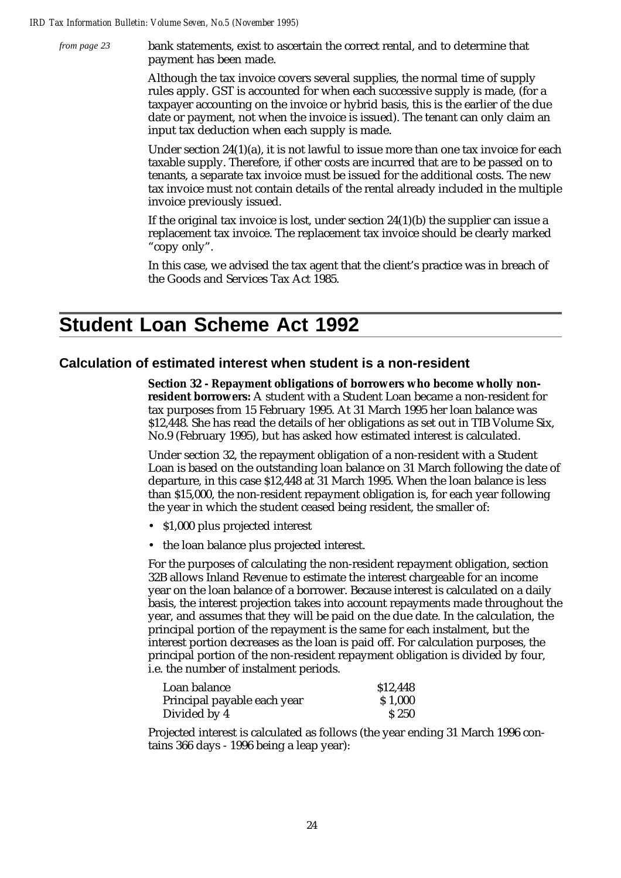bank statements, exist to ascertain the correct rental, and to determine that payment has been made. *from page 23*

> Although the tax invoice covers several supplies, the normal time of supply rules apply. GST is accounted for when each successive supply is made, (for a taxpayer accounting on the invoice or hybrid basis, this is the earlier of the due date or payment, not when the invoice is issued). The tenant can only claim an input tax deduction when each supply is made.

Under section 24(1)(a), it is not lawful to issue more than one tax invoice for each taxable supply. Therefore, if other costs are incurred that are to be passed on to tenants, a separate tax invoice must be issued for the additional costs. The new tax invoice must not contain details of the rental already included in the multiple invoice previously issued.

If the original tax invoice is lost, under section 24(1)(b) the supplier can issue a replacement tax invoice. The replacement tax invoice should be clearly marked "copy only".

In this case, we advised the tax agent that the client's practice was in breach of the Goods and Services Tax Act 1985.

# **Student Loan Scheme Act 1992**

## **Calculation of estimated interest when student is a non-resident**

**Section 32 - Repayment obligations of borrowers who become wholly nonresident borrowers:** A student with a Student Loan became a non-resident for tax purposes from 15 February 1995. At 31 March 1995 her loan balance was \$12,448. She has read the details of her obligations as set out in TIB Volume Six, No.9 (February 1995), but has asked how estimated interest is calculated.

Under section 32, the repayment obligation of a non-resident with a Student Loan is based on the outstanding loan balance on 31 March following the date of departure, in this case \$12,448 at 31 March 1995. When the loan balance is less than \$15,000, the non-resident repayment obligation is, for each year following the year in which the student ceased being resident, the smaller of:

- \$1,000 plus projected interest
- the loan balance plus projected interest.

For the purposes of calculating the non-resident repayment obligation, section 32B allows Inland Revenue to estimate the interest chargeable for an income year on the loan balance of a borrower. Because interest is calculated on a daily basis, the interest projection takes into account repayments made throughout the year, and assumes that they will be paid on the due date. In the calculation, the principal portion of the repayment is the same for each instalment, but the interest portion decreases as the loan is paid off. For calculation purposes, the principal portion of the non-resident repayment obligation is divided by four, i.e. the number of instalment periods.

| Loan balance                | \$12,448 |
|-----------------------------|----------|
| Principal payable each year | \$1,000  |
| Divided by 4                | S 250    |

Projected interest is calculated as follows (the year ending 31 March 1996 contains 366 days - 1996 being a leap year):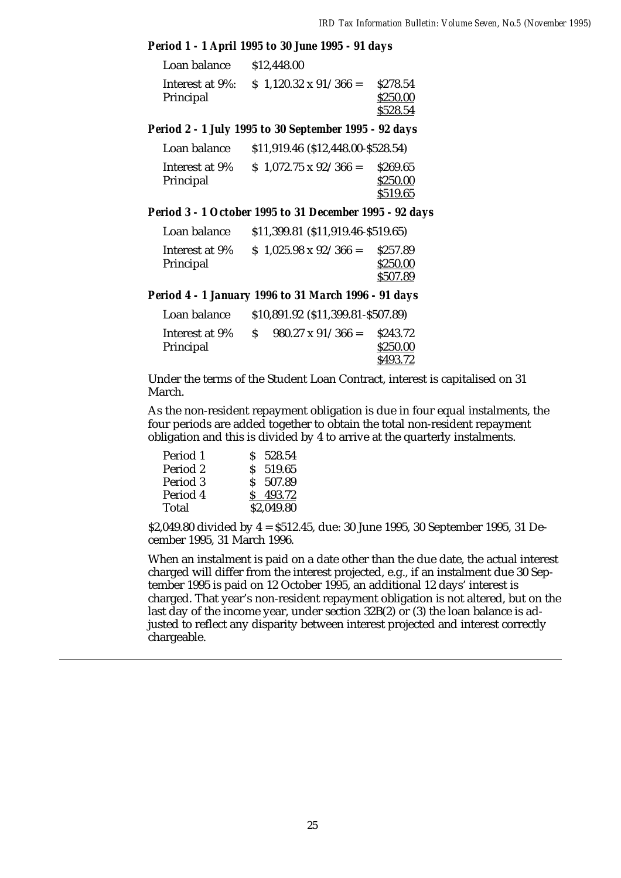### *Period 1 - 1 April 1995 to 30 June 1995 - 91 days*

| Loan balance | \$12,448.00                                   |                                  |
|--------------|-----------------------------------------------|----------------------------------|
| Principal    | Interest at 9%: $\$ 1,120.32 \times 91/366 =$ | \$278.54<br>\$250.00<br>\$528.54 |

*Period 2 - 1 July 1995 to 30 September 1995 - 92 days*

| Loan balance                | $$11,919.46 \ ($12,448.00 - $528.54)$ |                      |
|-----------------------------|---------------------------------------|----------------------|
| Interest at 9%<br>Principal | $$1,072.75 \times 92/366 =$           | \$269.65<br>\$250.00 |
|                             |                                       | \$519.65             |

### *Period 3 - 1 October 1995 to 31 December 1995 - 92 days*

| Loan balance   | $$11,399.81$ (\$11,919.46-\$519.65) |          |
|----------------|-------------------------------------|----------|
| Interest at 9% | $$1,025.98 \times 92/366 =$         | \$257.89 |
| Principal      |                                     | \$250.00 |
|                |                                     | \$507.89 |

*Period 4 - 1 January 1996 to 31 March 1996 - 91 days*

| Loan balance                | \$10,891.92 (\$11,399.81-\$507.89) |                          |                                  |
|-----------------------------|------------------------------------|--------------------------|----------------------------------|
| Interest at 9%<br>Principal | S                                  | $980.27 \times 91/366 =$ | \$243.72<br>\$250.00<br>\$493.72 |

Under the terms of the Student Loan Contract, interest is capitalised on 31 March.

As the non-resident repayment obligation is due in four equal instalments, the four periods are added together to obtain the total non-resident repayment obligation and this is divided by 4 to arrive at the quarterly instalments.

| Period 1 | \$ 528.54  |
|----------|------------|
| Period 2 | $S$ 519.65 |
| Period 3 | \$ 507.89  |
| Period 4 | S 493.72   |
| Total    | \$2,049.80 |

\$2,049.80 divided by 4 = \$512.45, due: 30 June 1995, 30 September 1995, 31 December 1995, 31 March 1996.

When an instalment is paid on a date other than the due date, the actual interest charged will differ from the interest projected, e.g., if an instalment due 30 September 1995 is paid on 12 October 1995, an additional 12 days' interest is charged. That year's non-resident repayment obligation is not altered, but on the last day of the income year, under section 32B(2) or (3) the loan balance is adjusted to reflect any disparity between interest projected and interest correctly chargeable.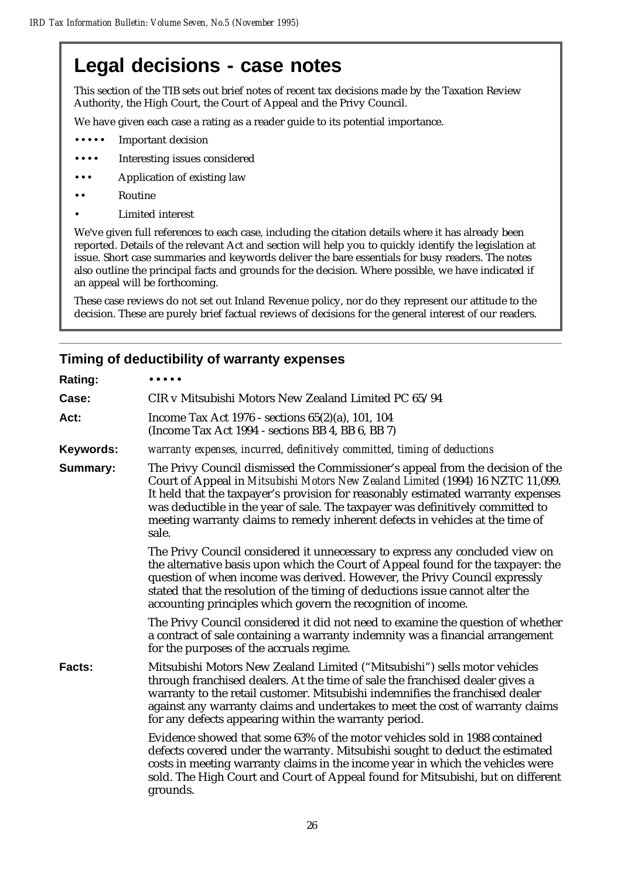# **Legal decisions - case notes**

This section of the TIB sets out brief notes of recent tax decisions made by the Taxation Review Authority, the High Court, the Court of Appeal and the Privy Council.

We have given each case a rating as a reader guide to its potential importance.

- ••• Important decision
- •••• Interesting issues considered
- ••• Application of existing law
- •• Routine
- Limited interest

We've given full references to each case, including the citation details where it has already been reported. Details of the relevant Act and section will help you to quickly identify the legislation at issue. Short case summaries and keywords deliver the bare essentials for busy readers. The notes also outline the principal facts and grounds for the decision. Where possible, we have indicated if an appeal will be forthcoming.

These case reviews do not set out Inland Revenue policy, nor do they represent our attitude to the decision. These are purely brief factual reviews of decisions for the general interest of our readers.

# **Timing of deductibility of warranty expenses**

| <b>Rating:</b> |                                                                                                                                                                                                                                                                                                                                                                                                                                   |
|----------------|-----------------------------------------------------------------------------------------------------------------------------------------------------------------------------------------------------------------------------------------------------------------------------------------------------------------------------------------------------------------------------------------------------------------------------------|
| Case:          | CIR v Mitsubishi Motors New Zealand Limited PC 65/94                                                                                                                                                                                                                                                                                                                                                                              |
| Act:           | Income Tax Act 1976 - sections 65(2)(a), 101, 104<br>(Income Tax Act 1994 - sections BB 4, BB 6, BB 7)                                                                                                                                                                                                                                                                                                                            |
| Keywords:      | warranty expenses, incurred, definitively committed, timing of deductions                                                                                                                                                                                                                                                                                                                                                         |
| Summary:       | The Privy Council dismissed the Commissioner's appeal from the decision of the<br>Court of Appeal in Mitsubishi Motors New Zealand Limited (1994) 16 NZTC 11,099.<br>It held that the taxpayer's provision for reasonably estimated warranty expenses<br>was deductible in the year of sale. The taxpayer was definitively committed to<br>meeting warranty claims to remedy inherent defects in vehicles at the time of<br>sale. |
|                | The Privy Council considered it unnecessary to express any concluded view on<br>the alternative basis upon which the Court of Appeal found for the taxpayer: the<br>question of when income was derived. However, the Privy Council expressly<br>stated that the resolution of the timing of deductions issue cannot alter the<br>accounting principles which govern the recognition of income.                                   |
|                | The Privy Council considered it did not need to examine the question of whether<br>a contract of sale containing a warranty indemnity was a financial arrangement<br>for the purposes of the accruals regime.                                                                                                                                                                                                                     |
| Facts:         | Mitsubishi Motors New Zealand Limited ("Mitsubishi") sells motor vehicles<br>through franchised dealers. At the time of sale the franchised dealer gives a<br>warranty to the retail customer. Mitsubishi indemnifies the franchised dealer<br>against any warranty claims and undertakes to meet the cost of warranty claims<br>for any defects appearing within the warranty period.                                            |
|                | Evidence showed that some 63% of the motor vehicles sold in 1988 contained<br>defects covered under the warranty. Mitsubishi sought to deduct the estimated<br>costs in meeting warranty claims in the income year in which the vehicles were<br>sold. The High Court and Court of Appeal found for Mitsubishi, but on different<br>grounds.                                                                                      |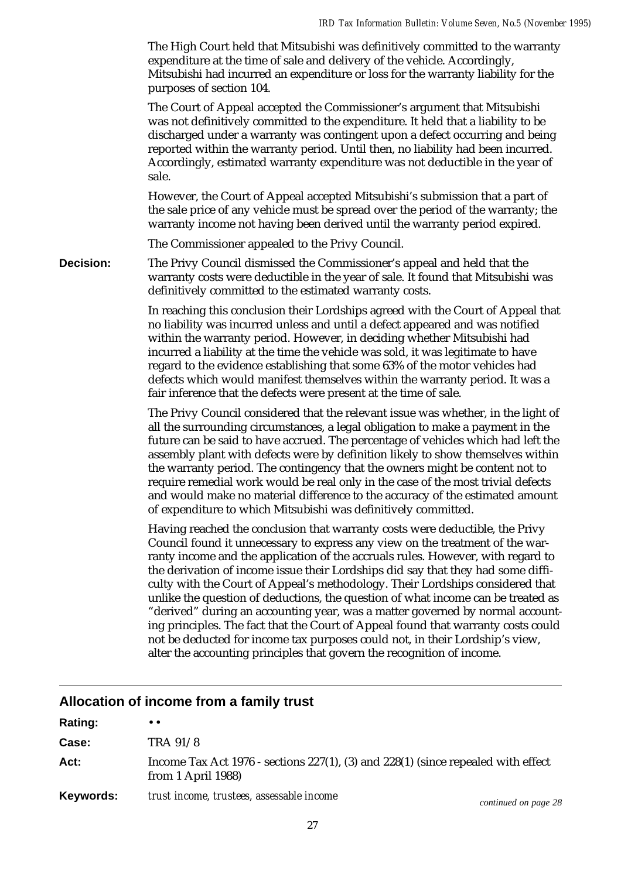The High Court held that Mitsubishi was definitively committed to the warranty expenditure at the time of sale and delivery of the vehicle. Accordingly, Mitsubishi had incurred an expenditure or loss for the warranty liability for the purposes of section 104.

The Court of Appeal accepted the Commissioner's argument that Mitsubishi was not definitively committed to the expenditure. It held that a liability to be discharged under a warranty was contingent upon a defect occurring and being reported within the warranty period. Until then, no liability had been incurred. Accordingly, estimated warranty expenditure was not deductible in the year of sale.

However, the Court of Appeal accepted Mitsubishi's submission that a part of the sale price of any vehicle must be spread over the period of the warranty; the warranty income not having been derived until the warranty period expired.

The Commissioner appealed to the Privy Council.

**Decision:** The Privy Council dismissed the Commissioner's appeal and held that the warranty costs were deductible in the year of sale. It found that Mitsubishi was definitively committed to the estimated warranty costs.

> In reaching this conclusion their Lordships agreed with the Court of Appeal that no liability was incurred unless and until a defect appeared and was notified within the warranty period. However, in deciding whether Mitsubishi had incurred a liability at the time the vehicle was sold, it was legitimate to have regard to the evidence establishing that some 63% of the motor vehicles had defects which would manifest themselves within the warranty period. It was a fair inference that the defects were present at the time of sale.

> The Privy Council considered that the relevant issue was whether, in the light of all the surrounding circumstances, a legal obligation to make a payment in the future can be said to have accrued. The percentage of vehicles which had left the assembly plant with defects were by definition likely to show themselves within the warranty period. The contingency that the owners might be content not to require remedial work would be real only in the case of the most trivial defects and would make no material difference to the accuracy of the estimated amount of expenditure to which Mitsubishi was definitively committed.

> Having reached the conclusion that warranty costs were deductible, the Privy Council found it unnecessary to express any view on the treatment of the warranty income and the application of the accruals rules. However, with regard to the derivation of income issue their Lordships did say that they had some difficulty with the Court of Appeal's methodology. Their Lordships considered that unlike the question of deductions, the question of what income can be treated as "derived" during an accounting year, was a matter governed by normal accounting principles. The fact that the Court of Appeal found that warranty costs could not be deducted for income tax purposes could not, in their Lordship's view, alter the accounting principles that govern the recognition of income.

### **Allocation of income from a family trust**

| Rating:   | $\bullet\bullet$                                                                                                  |                      |
|-----------|-------------------------------------------------------------------------------------------------------------------|----------------------|
| Case:     | TRA 91/8                                                                                                          |                      |
| Act:      | Income Tax Act 1976 - sections $227(1)$ , (3) and $228(1)$ (since repealed with effect<br>from $1$ April $1988$ ) |                      |
| Keywords: | trust income, trustees, assessable income                                                                         | continued on page 28 |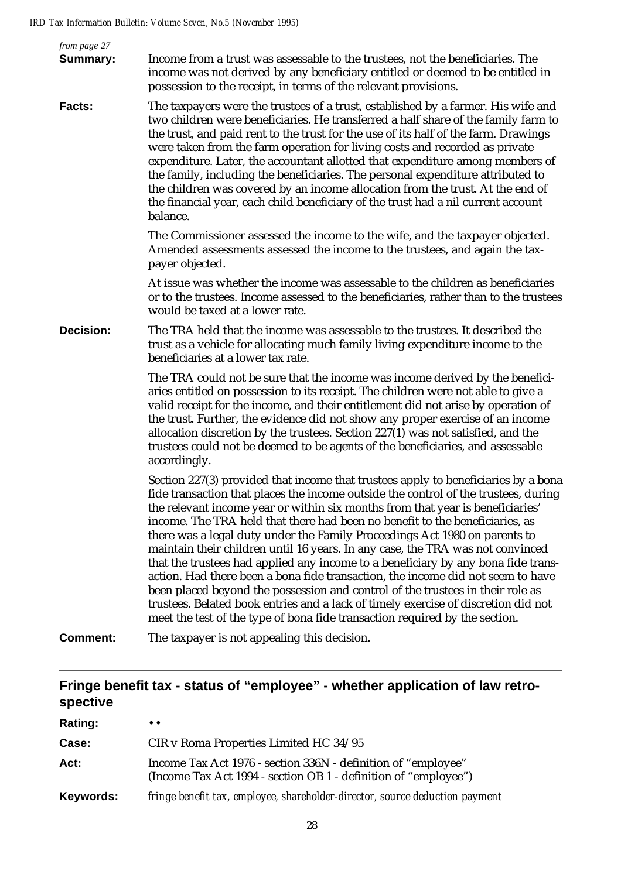| from page 27<br><b>Summary:</b> | Income from a trust was assessable to the trustees, not the beneficiaries. The<br>income was not derived by any beneficiary entitled or deemed to be entitled in<br>possession to the receipt, in terms of the relevant provisions.                                                                                                                                                                                                                                                                                                                                                                                                                                                                                                                                                                                                                                                                                                        |
|---------------------------------|--------------------------------------------------------------------------------------------------------------------------------------------------------------------------------------------------------------------------------------------------------------------------------------------------------------------------------------------------------------------------------------------------------------------------------------------------------------------------------------------------------------------------------------------------------------------------------------------------------------------------------------------------------------------------------------------------------------------------------------------------------------------------------------------------------------------------------------------------------------------------------------------------------------------------------------------|
| <b>Facts:</b>                   | The taxpayers were the trustees of a trust, established by a farmer. His wife and<br>two children were beneficiaries. He transferred a half share of the family farm to<br>the trust, and paid rent to the trust for the use of its half of the farm. Drawings<br>were taken from the farm operation for living costs and recorded as private<br>expenditure. Later, the accountant allotted that expenditure among members of<br>the family, including the beneficiaries. The personal expenditure attributed to<br>the children was covered by an income allocation from the trust. At the end of<br>the financial year, each child beneficiary of the trust had a nil current account<br>balance.                                                                                                                                                                                                                                       |
|                                 | The Commissioner assessed the income to the wife, and the taxpayer objected.<br>Amended assessments assessed the income to the trustees, and again the tax-<br>payer objected.                                                                                                                                                                                                                                                                                                                                                                                                                                                                                                                                                                                                                                                                                                                                                             |
|                                 | At issue was whether the income was assessable to the children as beneficiaries<br>or to the trustees. Income assessed to the beneficiaries, rather than to the trustees<br>would be taxed at a lower rate.                                                                                                                                                                                                                                                                                                                                                                                                                                                                                                                                                                                                                                                                                                                                |
| <b>Decision:</b>                | The TRA held that the income was assessable to the trustees. It described the<br>trust as a vehicle for allocating much family living expenditure income to the<br>beneficiaries at a lower tax rate.                                                                                                                                                                                                                                                                                                                                                                                                                                                                                                                                                                                                                                                                                                                                      |
|                                 | The TRA could not be sure that the income was income derived by the benefici-<br>aries entitled on possession to its receipt. The children were not able to give a<br>valid receipt for the income, and their entitlement did not arise by operation of<br>the trust. Further, the evidence did not show any proper exercise of an income<br>allocation discretion by the trustees. Section 227(1) was not satisfied, and the<br>trustees could not be deemed to be agents of the beneficiaries, and assessable<br>accordingly.                                                                                                                                                                                                                                                                                                                                                                                                            |
|                                 | Section 227(3) provided that income that trustees apply to beneficiaries by a bona<br>fide transaction that places the income outside the control of the trustees, during<br>the relevant income year or within six months from that year is beneficiaries'<br>income. The TRA held that there had been no benefit to the beneficiaries, as<br>there was a legal duty under the Family Proceedings Act 1980 on parents to<br>maintain their children until 16 years. In any case, the TRA was not convinced<br>that the trustees had applied any income to a beneficiary by any bona fide trans-<br>action. Had there been a bona fide transaction, the income did not seem to have<br>been placed beyond the possession and control of the trustees in their role as<br>trustees. Belated book entries and a lack of timely exercise of discretion did not<br>meet the test of the type of bona fide transaction required by the section. |
| <b>Comment:</b>                 | The taxpayer is not appealing this decision.                                                                                                                                                                                                                                                                                                                                                                                                                                                                                                                                                                                                                                                                                                                                                                                                                                                                                               |
|                                 |                                                                                                                                                                                                                                                                                                                                                                                                                                                                                                                                                                                                                                                                                                                                                                                                                                                                                                                                            |

# **Fringe benefit tax - status of "employee" - whether application of law retrospective**

| Rating:      | $\bullet$ $\bullet$                                                                                                              |
|--------------|----------------------------------------------------------------------------------------------------------------------------------|
| <b>Case:</b> | CIR v Roma Properties Limited HC 34/95                                                                                           |
| Act:         | Income Tax Act 1976 - section 336N - definition of "employee"<br>(Income Tax Act 1994 - section OB 1 - definition of "employee") |
| Keywords:    | fringe benefit tax, employee, shareholder-director, source deduction payment                                                     |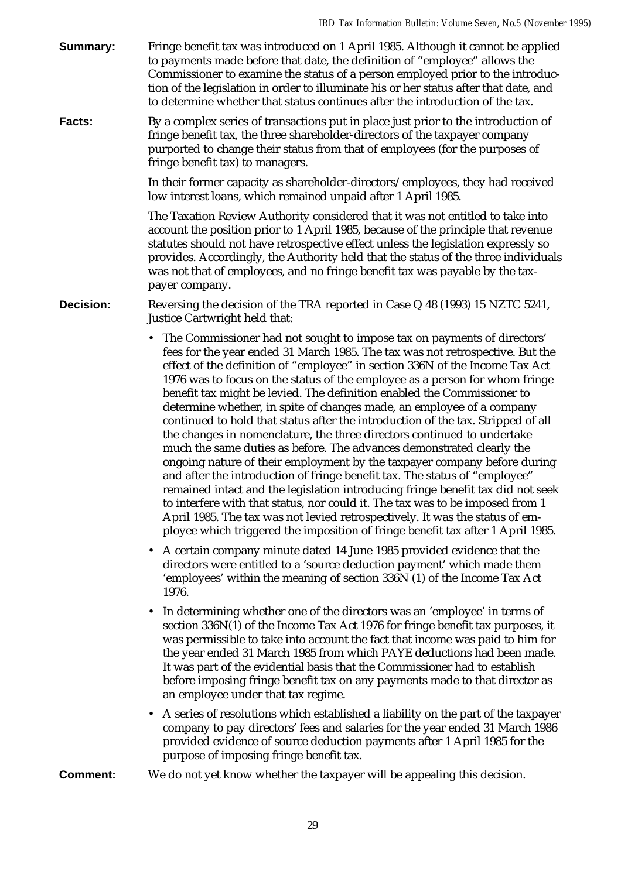**Summary:** Fringe benefit tax was introduced on 1 April 1985. Although it cannot be applied to payments made before that date, the definition of "employee" allows the Commissioner to examine the status of a person employed prior to the introduction of the legislation in order to illuminate his or her status after that date, and to determine whether that status continues after the introduction of the tax.

**Facts:** By a complex series of transactions put in place just prior to the introduction of fringe benefit tax, the three shareholder-directors of the taxpayer company purported to change their status from that of employees (for the purposes of fringe benefit tax) to managers.

> In their former capacity as shareholder-directors/employees, they had received low interest loans, which remained unpaid after 1 April 1985.

The Taxation Review Authority considered that it was not entitled to take into account the position prior to 1 April 1985, because of the principle that revenue statutes should not have retrospective effect unless the legislation expressly so provides. Accordingly, the Authority held that the status of the three individuals was not that of employees, and no fringe benefit tax was payable by the taxpayer company.

**Decision:** Reversing the decision of the TRA reported in Case Q 48 (1993) 15 NZTC 5241, Justice Cartwright held that:

- The Commissioner had not sought to impose tax on payments of directors' fees for the year ended 31 March 1985. The tax was not retrospective. But the effect of the definition of "employee" in section 336N of the Income Tax Act 1976 was to focus on the status of the employee as a person for whom fringe benefit tax might be levied. The definition enabled the Commissioner to determine whether, in spite of changes made, an employee of a company continued to hold that status after the introduction of the tax. Stripped of all the changes in nomenclature, the three directors continued to undertake much the same duties as before. The advances demonstrated clearly the ongoing nature of their employment by the taxpayer company before during and after the introduction of fringe benefit tax. The status of "employee" remained intact and the legislation introducing fringe benefit tax did not seek to interfere with that status, nor could it. The tax was to be imposed from 1 April 1985. The tax was not levied retrospectively. It was the status of employee which triggered the imposition of fringe benefit tax after 1 April 1985.
	- A certain company minute dated 14 June 1985 provided evidence that the directors were entitled to a 'source deduction payment' which made them 'employees' within the meaning of section 336N (1) of the Income Tax Act 1976.
	- In determining whether one of the directors was an 'employee' in terms of section 336N(1) of the Income Tax Act 1976 for fringe benefit tax purposes, it was permissible to take into account the fact that income was paid to him for the year ended 31 March 1985 from which PAYE deductions had been made. It was part of the evidential basis that the Commissioner had to establish before imposing fringe benefit tax on any payments made to that director as an employee under that tax regime.
	- A series of resolutions which established a liability on the part of the taxpayer company to pay directors' fees and salaries for the year ended 31 March 1986 provided evidence of source deduction payments after 1 April 1985 for the purpose of imposing fringe benefit tax.

**Comment:** We do not yet know whether the taxpayer will be appealing this decision.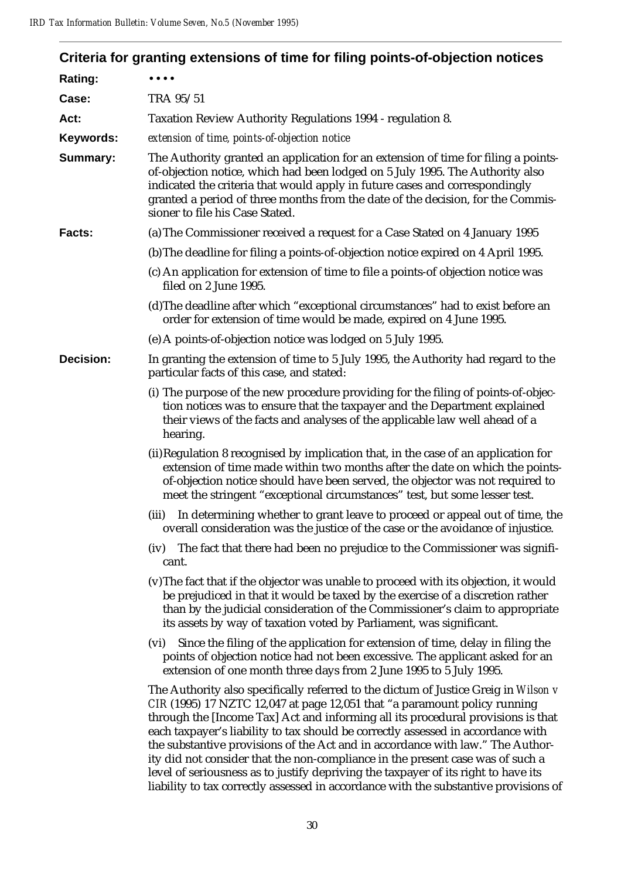|                  | Criteria for granting extensions of time for filing points-of-objection notices                                                                                                                                                                                                                                                                                                                                                                                                                                                                                                                    |
|------------------|----------------------------------------------------------------------------------------------------------------------------------------------------------------------------------------------------------------------------------------------------------------------------------------------------------------------------------------------------------------------------------------------------------------------------------------------------------------------------------------------------------------------------------------------------------------------------------------------------|
| Rating:          |                                                                                                                                                                                                                                                                                                                                                                                                                                                                                                                                                                                                    |
| Case:            | TRA 95/51                                                                                                                                                                                                                                                                                                                                                                                                                                                                                                                                                                                          |
| Act:             | Taxation Review Authority Regulations 1994 - regulation 8.                                                                                                                                                                                                                                                                                                                                                                                                                                                                                                                                         |
| Keywords:        | extension of time, points-of-objection notice                                                                                                                                                                                                                                                                                                                                                                                                                                                                                                                                                      |
| <b>Summary:</b>  | The Authority granted an application for an extension of time for filing a points-<br>of-objection notice, which had been lodged on 5 July 1995. The Authority also<br>indicated the criteria that would apply in future cases and correspondingly<br>granted a period of three months from the date of the decision, for the Commis-<br>sioner to file his Case Stated.                                                                                                                                                                                                                           |
| Facts:           | (a) The Commissioner received a request for a Case Stated on 4 January 1995                                                                                                                                                                                                                                                                                                                                                                                                                                                                                                                        |
|                  | (b) The deadline for filing a points-of-objection notice expired on 4 April 1995.                                                                                                                                                                                                                                                                                                                                                                                                                                                                                                                  |
|                  | (c) An application for extension of time to file a points-of objection notice was<br>filed on 2 June 1995.                                                                                                                                                                                                                                                                                                                                                                                                                                                                                         |
|                  | (d) The deadline after which "exceptional circumstances" had to exist before an<br>order for extension of time would be made, expired on 4 June 1995.                                                                                                                                                                                                                                                                                                                                                                                                                                              |
|                  | (e) A points-of-objection notice was lodged on 5 July 1995.                                                                                                                                                                                                                                                                                                                                                                                                                                                                                                                                        |
| <b>Decision:</b> | In granting the extension of time to 5 July 1995, the Authority had regard to the<br>particular facts of this case, and stated:                                                                                                                                                                                                                                                                                                                                                                                                                                                                    |
|                  | (i) The purpose of the new procedure providing for the filing of points-of-objec-<br>tion notices was to ensure that the taxpayer and the Department explained<br>their views of the facts and analyses of the applicable law well ahead of a<br>hearing.                                                                                                                                                                                                                                                                                                                                          |
|                  | (ii) Regulation 8 recognised by implication that, in the case of an application for<br>extension of time made within two months after the date on which the points-<br>of-objection notice should have been served, the objector was not required to<br>meet the stringent "exceptional circumstances" test, but some lesser test.                                                                                                                                                                                                                                                                 |
|                  | (iii)<br>In determining whether to grant leave to proceed or appeal out of time, the<br>overall consideration was the justice of the case or the avoidance of injustice.                                                                                                                                                                                                                                                                                                                                                                                                                           |
|                  | The fact that there had been no prejudice to the Commissioner was signifi-<br>(iv)<br>cant.                                                                                                                                                                                                                                                                                                                                                                                                                                                                                                        |
|                  | (v) The fact that if the objector was unable to proceed with its objection, it would<br>be prejudiced in that it would be taxed by the exercise of a discretion rather<br>than by the judicial consideration of the Commissioner's claim to appropriate<br>its assets by way of taxation voted by Parliament, was significant.                                                                                                                                                                                                                                                                     |
|                  | Since the filing of the application for extension of time, delay in filing the<br>(vi)<br>points of objection notice had not been excessive. The applicant asked for an<br>extension of one month three days from 2 June 1995 to 5 July 1995.                                                                                                                                                                                                                                                                                                                                                      |
|                  | The Authority also specifically referred to the dictum of Justice Greig in Wilson v<br>CIR (1995) 17 NZTC 12,047 at page 12,051 that "a paramount policy running<br>through the [Income Tax] Act and informing all its procedural provisions is that<br>each taxpayer's liability to tax should be correctly assessed in accordance with<br>the substantive provisions of the Act and in accordance with law." The Author-<br>ity did not consider that the non-compliance in the present case was of such a<br>level of seriousness as to justify depriving the taxpayer of its right to have its |

30

liability to tax correctly assessed in accordance with the substantive provisions of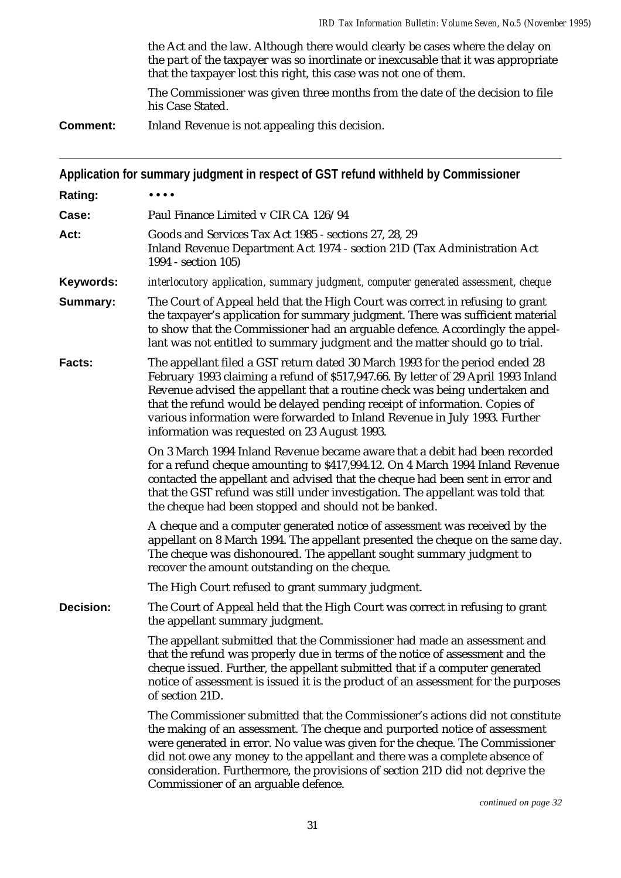the Act and the law. Although there would clearly be cases where the delay on the part of the taxpayer was so inordinate or inexcusable that it was appropriate that the taxpayer lost this right, this case was not one of them.

The Commissioner was given three months from the date of the decision to file his Case Stated.

**Comment:** Inland Revenue is not appealing this decision.

|                  | Application for summary judgment in respect of GST refund withheld by Commissioner                                                                                                                                                                                                                                                                                                                                                                            |
|------------------|---------------------------------------------------------------------------------------------------------------------------------------------------------------------------------------------------------------------------------------------------------------------------------------------------------------------------------------------------------------------------------------------------------------------------------------------------------------|
| Rating:          |                                                                                                                                                                                                                                                                                                                                                                                                                                                               |
| Case:            | Paul Finance Limited v CIR CA 126/94                                                                                                                                                                                                                                                                                                                                                                                                                          |
| Act:             | Goods and Services Tax Act 1985 - sections 27, 28, 29<br>Inland Revenue Department Act 1974 - section 21D (Tax Administration Act<br>1994 - section 105)                                                                                                                                                                                                                                                                                                      |
| Keywords:        | interlocutory application, summary judgment, computer generated assessment, cheque                                                                                                                                                                                                                                                                                                                                                                            |
| Summary:         | The Court of Appeal held that the High Court was correct in refusing to grant<br>the taxpayer's application for summary judgment. There was sufficient material<br>to show that the Commissioner had an arguable defence. Accordingly the appel-<br>lant was not entitled to summary judgment and the matter should go to trial.                                                                                                                              |
| <b>Facts:</b>    | The appellant filed a GST return dated 30 March 1993 for the period ended 28<br>February 1993 claiming a refund of \$517,947.66. By letter of 29 April 1993 Inland<br>Revenue advised the appellant that a routine check was being undertaken and<br>that the refund would be delayed pending receipt of information. Copies of<br>various information were forwarded to Inland Revenue in July 1993. Further<br>information was requested on 23 August 1993. |
|                  | On 3 March 1994 Inland Revenue became aware that a debit had been recorded<br>for a refund cheque amounting to \$417,994.12. On 4 March 1994 Inland Revenue<br>contacted the appellant and advised that the cheque had been sent in error and<br>that the GST refund was still under investigation. The appellant was told that<br>the cheque had been stopped and should not be banked.                                                                      |
|                  | A cheque and a computer generated notice of assessment was received by the<br>appellant on 8 March 1994. The appellant presented the cheque on the same day.<br>The cheque was dishonoured. The appellant sought summary judgment to<br>recover the amount outstanding on the cheque.                                                                                                                                                                         |
|                  | The High Court refused to grant summary judgment.                                                                                                                                                                                                                                                                                                                                                                                                             |
| <b>Decision:</b> | The Court of Appeal held that the High Court was correct in refusing to grant<br>the appellant summary judgment.                                                                                                                                                                                                                                                                                                                                              |
|                  | The appellant submitted that the Commissioner had made an assessment and<br>that the refund was properly due in terms of the notice of assessment and the<br>cheque issued. Further, the appellant submitted that if a computer generated<br>notice of assessment is issued it is the product of an assessment for the purposes<br>of section 21D.                                                                                                            |
|                  | The Commissioner submitted that the Commissioner's actions did not constitute<br>the making of an assessment. The cheque and purported notice of assessment<br>were generated in error. No value was given for the cheque. The Commissioner<br>did not owe any money to the appellant and there was a complete absence of<br>consideration. Furthermore, the provisions of section 21D did not deprive the<br>Commissioner of an arguable defence.            |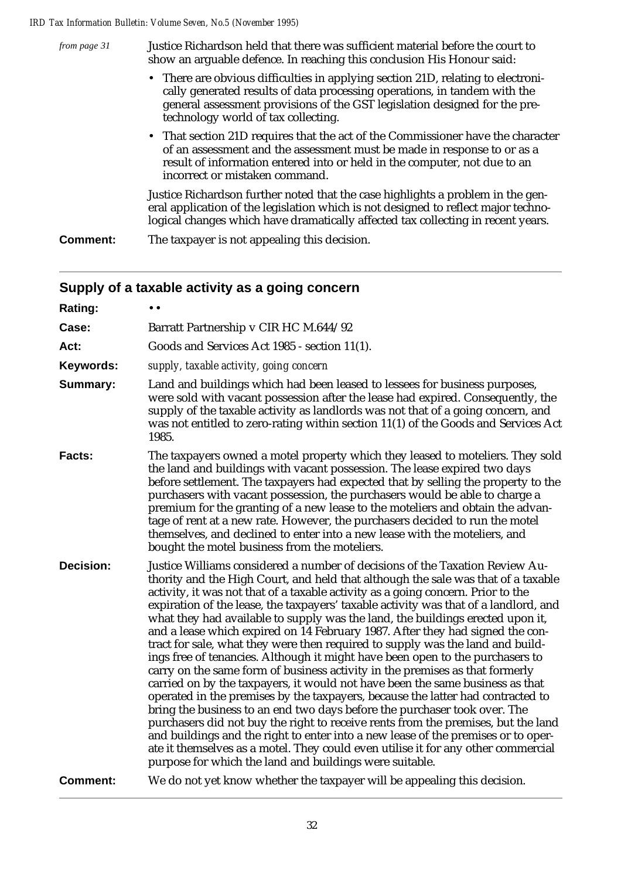| from page 31    | Justice Richardson held that there was sufficient material before the court to<br>show an arguable defence. In reaching this conclusion His Honour said:                                                                                                                           |
|-----------------|------------------------------------------------------------------------------------------------------------------------------------------------------------------------------------------------------------------------------------------------------------------------------------|
|                 | • There are obvious difficulties in applying section 21D, relating to electroni-<br>cally generated results of data processing operations, in tandem with the<br>general assessment provisions of the GST legislation designed for the pre-<br>technology world of tax collecting. |
|                 | • That section 21D requires that the act of the Commissioner have the character<br>of an assessment and the assessment must be made in response to or as a<br>result of information entered into or held in the computer, not due to an<br>incorrect or mistaken command.          |
|                 | Justice Richardson further noted that the case highlights a problem in the gen-<br>eral application of the legislation which is not designed to reflect major techno-<br>logical changes which have dramatically affected tax collecting in recent years.                          |
| <b>Comment:</b> | The taxpayer is not appealing this decision.                                                                                                                                                                                                                                       |

# **Supply of a taxable activity as a going concern**

| Rating:          | $\bullet\;\bullet$                                                                                                                                                                                                                                                                                                                                                                                                                                                                                                                                                                                                                                                                                                                                                                                                                                                                                                                                                                                                                                                                                                                                                                                                                                                                                                                             |
|------------------|------------------------------------------------------------------------------------------------------------------------------------------------------------------------------------------------------------------------------------------------------------------------------------------------------------------------------------------------------------------------------------------------------------------------------------------------------------------------------------------------------------------------------------------------------------------------------------------------------------------------------------------------------------------------------------------------------------------------------------------------------------------------------------------------------------------------------------------------------------------------------------------------------------------------------------------------------------------------------------------------------------------------------------------------------------------------------------------------------------------------------------------------------------------------------------------------------------------------------------------------------------------------------------------------------------------------------------------------|
| Case:            | Barratt Partnership v CIR HC M.644/92                                                                                                                                                                                                                                                                                                                                                                                                                                                                                                                                                                                                                                                                                                                                                                                                                                                                                                                                                                                                                                                                                                                                                                                                                                                                                                          |
| Act:             | Goods and Services Act 1985 - section 11(1).                                                                                                                                                                                                                                                                                                                                                                                                                                                                                                                                                                                                                                                                                                                                                                                                                                                                                                                                                                                                                                                                                                                                                                                                                                                                                                   |
| Keywords:        | supply, taxable activity, going concern                                                                                                                                                                                                                                                                                                                                                                                                                                                                                                                                                                                                                                                                                                                                                                                                                                                                                                                                                                                                                                                                                                                                                                                                                                                                                                        |
| Summary:         | Land and buildings which had been leased to lessees for business purposes,<br>were sold with vacant possession after the lease had expired. Consequently, the<br>supply of the taxable activity as landlords was not that of a going concern, and<br>was not entitled to zero-rating within section 11(1) of the Goods and Services Act<br>1985.                                                                                                                                                                                                                                                                                                                                                                                                                                                                                                                                                                                                                                                                                                                                                                                                                                                                                                                                                                                               |
| Facts:           | The taxpayers owned a motel property which they leased to moteliers. They sold<br>the land and buildings with vacant possession. The lease expired two days<br>before settlement. The taxpayers had expected that by selling the property to the<br>purchasers with vacant possession, the purchasers would be able to charge a<br>premium for the granting of a new lease to the moteliers and obtain the advan-<br>tage of rent at a new rate. However, the purchasers decided to run the motel<br>themselves, and declined to enter into a new lease with the moteliers, and<br>bought the motel business from the moteliers.                                                                                                                                                                                                                                                                                                                                                                                                                                                                                                                                                                                                                                                                                                               |
| <b>Decision:</b> | Justice Williams considered a number of decisions of the Taxation Review Au-<br>thority and the High Court, and held that although the sale was that of a taxable<br>activity, it was not that of a taxable activity as a going concern. Prior to the<br>expiration of the lease, the taxpayers' taxable activity was that of a landlord, and<br>what they had available to supply was the land, the buildings erected upon it,<br>and a lease which expired on 14 February 1987. After they had signed the con-<br>tract for sale, what they were then required to supply was the land and build-<br>ings free of tenancies. Although it might have been open to the purchasers to<br>carry on the same form of business activity in the premises as that formerly<br>carried on by the taxpayers, it would not have been the same business as that<br>operated in the premises by the taxpayers, because the latter had contracted to<br>bring the business to an end two days before the purchaser took over. The<br>purchasers did not buy the right to receive rents from the premises, but the land<br>and buildings and the right to enter into a new lease of the premises or to oper-<br>ate it themselves as a motel. They could even utilise it for any other commercial<br>purpose for which the land and buildings were suitable. |
| <b>Comment:</b>  | We do not yet know whether the taxpayer will be appealing this decision.                                                                                                                                                                                                                                                                                                                                                                                                                                                                                                                                                                                                                                                                                                                                                                                                                                                                                                                                                                                                                                                                                                                                                                                                                                                                       |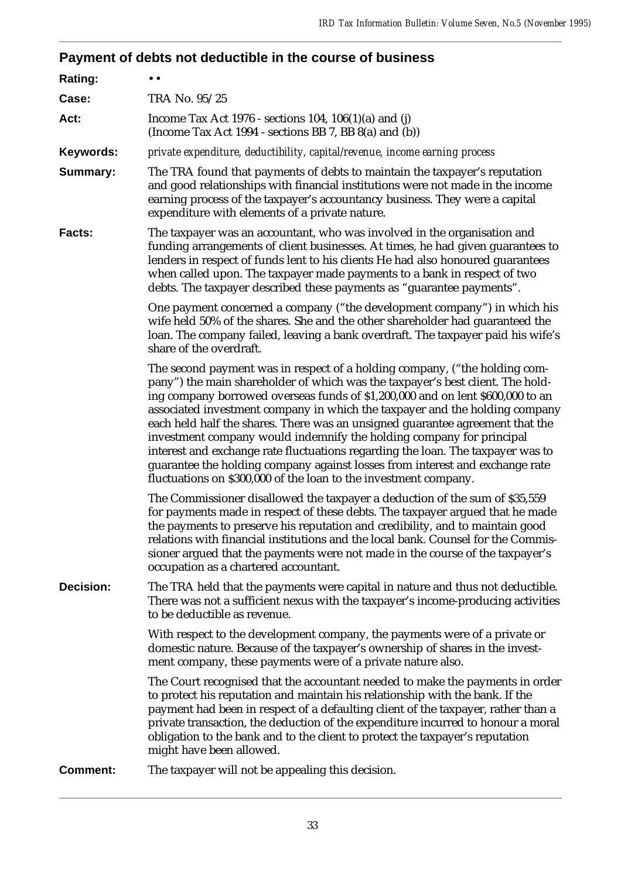# **Payment of debts not deductible in the course of business**

| Rating:          | $\bullet\bullet$                                                                                                                                                                                                                                                                                                                                                                                                                                                                                                                                                                                                                                                                                                              |  |  |  |
|------------------|-------------------------------------------------------------------------------------------------------------------------------------------------------------------------------------------------------------------------------------------------------------------------------------------------------------------------------------------------------------------------------------------------------------------------------------------------------------------------------------------------------------------------------------------------------------------------------------------------------------------------------------------------------------------------------------------------------------------------------|--|--|--|
| Case:            | TRA No. 95/25                                                                                                                                                                                                                                                                                                                                                                                                                                                                                                                                                                                                                                                                                                                 |  |  |  |
| Act:             | Income Tax Act 1976 - sections 104, $106(1)(a)$ and (j)<br>(Income Tax Act 1994 - sections BB 7, BB 8(a) and (b))                                                                                                                                                                                                                                                                                                                                                                                                                                                                                                                                                                                                             |  |  |  |
| Keywords:        | private expenditure, deductibility, capital/revenue, income earning process                                                                                                                                                                                                                                                                                                                                                                                                                                                                                                                                                                                                                                                   |  |  |  |
| Summary:         | The TRA found that payments of debts to maintain the taxpayer's reputation<br>and good relationships with financial institutions were not made in the income<br>earning process of the taxpayer's accountancy business. They were a capital<br>expenditure with elements of a private nature.                                                                                                                                                                                                                                                                                                                                                                                                                                 |  |  |  |
| <b>Facts:</b>    | The taxpayer was an accountant, who was involved in the organisation and<br>funding arrangements of client businesses. At times, he had given guarantees to<br>lenders in respect of funds lent to his clients He had also honoured guarantees<br>when called upon. The taxpayer made payments to a bank in respect of two<br>debts. The taxpayer described these payments as "guarantee payments".                                                                                                                                                                                                                                                                                                                           |  |  |  |
|                  | One payment concerned a company ("the development company") in which his<br>wife held 50% of the shares. She and the other shareholder had guaranteed the<br>loan. The company failed, leaving a bank overdraft. The taxpayer paid his wife's<br>share of the overdraft.                                                                                                                                                                                                                                                                                                                                                                                                                                                      |  |  |  |
|                  | The second payment was in respect of a holding company, ("the holding com-<br>pany") the main shareholder of which was the taxpayer's best client. The hold-<br>ing company borrowed overseas funds of \$1,200,000 and on lent \$600,000 to an<br>associated investment company in which the taxpayer and the holding company<br>each held half the shares. There was an unsigned guarantee agreement that the<br>investment company would indemnify the holding company for principal<br>interest and exchange rate fluctuations regarding the loan. The taxpayer was to<br>guarantee the holding company against losses from interest and exchange rate<br>fluctuations on \$300,000 of the loan to the investment company. |  |  |  |
|                  | The Commissioner disallowed the taxpayer a deduction of the sum of \$35,559<br>for payments made in respect of these debts. The taxpayer argued that he made<br>the payments to preserve his reputation and credibility, and to maintain good<br>relations with financial institutions and the local bank. Counsel for the Commis-<br>sioner argued that the payments were not made in the course of the taxpayer's<br>occupation as a chartered accountant.                                                                                                                                                                                                                                                                  |  |  |  |
| <b>Decision:</b> | The TRA held that the payments were capital in nature and thus not deductible.<br>There was not a sufficient nexus with the taxpayer's income-producing activities<br>to be deductible as revenue.                                                                                                                                                                                                                                                                                                                                                                                                                                                                                                                            |  |  |  |
|                  | With respect to the development company, the payments were of a private or<br>domestic nature. Because of the taxpayer's ownership of shares in the invest-<br>ment company, these payments were of a private nature also.                                                                                                                                                                                                                                                                                                                                                                                                                                                                                                    |  |  |  |
|                  | The Court recognised that the accountant needed to make the payments in order<br>to protect his reputation and maintain his relationship with the bank. If the<br>payment had been in respect of a defaulting client of the taxpayer, rather than a<br>private transaction, the deduction of the expenditure incurred to honour a moral<br>obligation to the bank and to the client to protect the taxpayer's reputation<br>might have been allowed.                                                                                                                                                                                                                                                                          |  |  |  |
| <b>Comment:</b>  | The taxpayer will not be appealing this decision.                                                                                                                                                                                                                                                                                                                                                                                                                                                                                                                                                                                                                                                                             |  |  |  |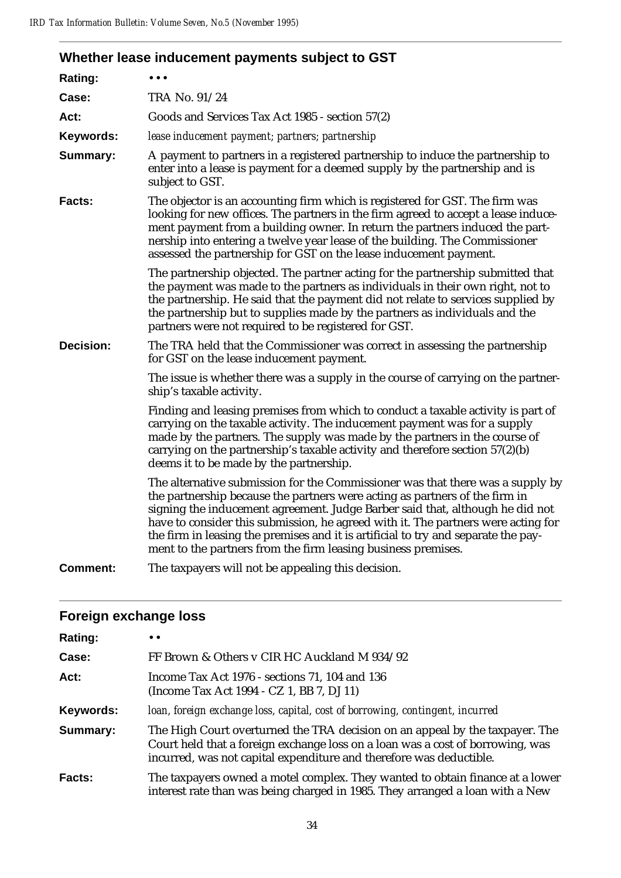| Whether lease inducement payments subject to GST                                                                                                                                                                                                                                                                                                                                                                                                                                           |
|--------------------------------------------------------------------------------------------------------------------------------------------------------------------------------------------------------------------------------------------------------------------------------------------------------------------------------------------------------------------------------------------------------------------------------------------------------------------------------------------|
|                                                                                                                                                                                                                                                                                                                                                                                                                                                                                            |
| TRA No. 91/24                                                                                                                                                                                                                                                                                                                                                                                                                                                                              |
| Goods and Services Tax Act 1985 - section 57(2)                                                                                                                                                                                                                                                                                                                                                                                                                                            |
| lease inducement payment; partners; partnership                                                                                                                                                                                                                                                                                                                                                                                                                                            |
| A payment to partners in a registered partnership to induce the partnership to<br>enter into a lease is payment for a deemed supply by the partnership and is<br>subject to GST.                                                                                                                                                                                                                                                                                                           |
| The objector is an accounting firm which is registered for GST. The firm was<br>looking for new offices. The partners in the firm agreed to accept a lease induce-<br>ment payment from a building owner. In return the partners induced the part-<br>nership into entering a twelve year lease of the building. The Commissioner<br>assessed the partnership for GST on the lease inducement payment.                                                                                     |
| The partnership objected. The partner acting for the partnership submitted that<br>the payment was made to the partners as individuals in their own right, not to<br>the partnership. He said that the payment did not relate to services supplied by<br>the partnership but to supplies made by the partners as individuals and the<br>partners were not required to be registered for GST.                                                                                               |
| The TRA held that the Commissioner was correct in assessing the partnership<br>for GST on the lease inducement payment.                                                                                                                                                                                                                                                                                                                                                                    |
| The issue is whether there was a supply in the course of carrying on the partner-<br>ship's taxable activity.                                                                                                                                                                                                                                                                                                                                                                              |
| Finding and leasing premises from which to conduct a taxable activity is part of<br>carrying on the taxable activity. The inducement payment was for a supply<br>made by the partners. The supply was made by the partners in the course of<br>carrying on the partnership's taxable activity and therefore section $57(2)(b)$<br>deems it to be made by the partnership.                                                                                                                  |
| The alternative submission for the Commissioner was that there was a supply by<br>the partnership because the partners were acting as partners of the firm in<br>signing the inducement agreement. Judge Barber said that, although he did not<br>have to consider this submission, he agreed with it. The partners were acting for<br>the firm in leasing the premises and it is artificial to try and separate the pay-<br>ment to the partners from the firm leasing business premises. |
| The taxpayers will not be appealing this decision.                                                                                                                                                                                                                                                                                                                                                                                                                                         |
|                                                                                                                                                                                                                                                                                                                                                                                                                                                                                            |

# **Foreign exchange loss**

| Rating:   | $\bullet\bullet$                                                                                                                                                                                                                      |
|-----------|---------------------------------------------------------------------------------------------------------------------------------------------------------------------------------------------------------------------------------------|
| Case:     | FF Brown & Others v CIR HC Auckland M 934/92                                                                                                                                                                                          |
| Act:      | Income Tax Act 1976 - sections 71, 104 and 136<br>(Income Tax Act 1994 - CZ 1, BB 7, DJ 11)                                                                                                                                           |
| Keywords: | loan, foreign exchange loss, capital, cost of borrowing, contingent, incurred                                                                                                                                                         |
| Summary:  | The High Court overturned the TRA decision on an appeal by the taxpayer. The<br>Court held that a foreign exchange loss on a loan was a cost of borrowing, was<br>incurred, was not capital expenditure and therefore was deductible. |
| Facts:    | The taxpayers owned a motel complex. They wanted to obtain finance at a lower<br>interest rate than was being charged in 1985. They arranged a loan with a New                                                                        |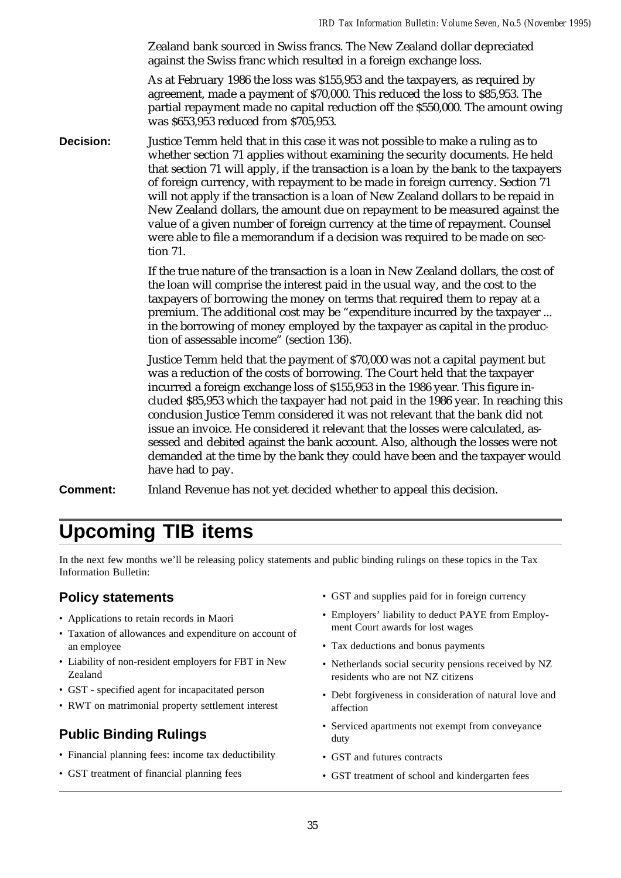Zealand bank sourced in Swiss francs. The New Zealand dollar depreciated against the Swiss franc which resulted in a foreign exchange loss.

As at February 1986 the loss was \$155,953 and the taxpayers, as required by agreement, made a payment of \$70,000. This reduced the loss to \$85,953. The partial repayment made no capital reduction off the \$550,000. The amount owing was \$653,953 reduced from \$705,953.

**Decision:** Justice Temm held that in this case it was not possible to make a ruling as to whether section 71 applies without examining the security documents. He held that section 71 will apply, if the transaction is a loan by the bank to the taxpayers of foreign currency, with repayment to be made in foreign currency. Section 71 will not apply if the transaction is a loan of New Zealand dollars to be repaid in New Zealand dollars, the amount due on repayment to be measured against the value of a given number of foreign currency at the time of repayment. Counsel were able to file a memorandum if a decision was required to be made on section 71.

> If the true nature of the transaction is a loan in New Zealand dollars, the cost of the loan will comprise the interest paid in the usual way, and the cost to the taxpayers of borrowing the money on terms that required them to repay at a premium. The additional cost may be "expenditure incurred by the taxpayer ... in the borrowing of money employed by the taxpayer as capital in the production of assessable income" (section 136).

Justice Temm held that the payment of \$70,000 was not a capital payment but was a reduction of the costs of borrowing. The Court held that the taxpayer incurred a foreign exchange loss of \$155,953 in the 1986 year. This figure included \$85,953 which the taxpayer had not paid in the 1986 year. In reaching this conclusion Justice Temm considered it was not relevant that the bank did not issue an invoice. He considered it relevant that the losses were calculated, assessed and debited against the bank account. Also, although the losses were not demanded at the time by the bank they could have been and the taxpayer would have had to pay.

**Comment:** Inland Revenue has not yet decided whether to appeal this decision.

# **Upcoming TIB items**

In the next few months we'll be releasing policy statements and public binding rulings on these topics in the Tax Information Bulletin:

# **Policy statements**

- Applications to retain records in Maori
- Taxation of allowances and expenditure on account of an employee
- Liability of non-resident employers for FBT in New Zealand
- GST specified agent for incapacitated person
- RWT on matrimonial property settlement interest

# **Public Binding Rulings**

- Financial planning fees: income tax deductibility
- GST treatment of financial planning fees
- GST and supplies paid for in foreign currency
- Employers' liability to deduct PAYE from Employment Court awards for lost wages
- Tax deductions and bonus payments
- Netherlands social security pensions received by NZ residents who are not NZ citizens
- Debt forgiveness in consideration of natural love and affection
- Serviced apartments not exempt from conveyance duty
- GST and futures contracts
- GST treatment of school and kindergarten fees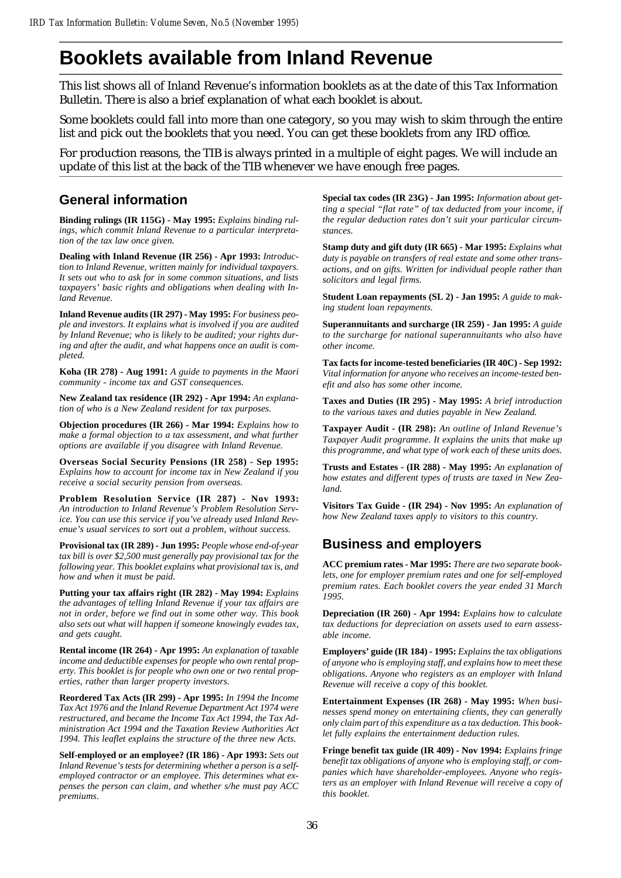# **Booklets available from Inland Revenue**

This list shows all of Inland Revenue's information booklets as at the date of this Tax Information Bulletin. There is also a brief explanation of what each booklet is about.

Some booklets could fall into more than one category, so you may wish to skim through the entire list and pick out the booklets that you need. You can get these booklets from any IRD office.

For production reasons, the TIB is always printed in a multiple of eight pages. We will include an update of this list at the back of the TIB whenever we have enough free pages.

# **General information**

**Binding rulings (IR 115G) - May 1995:** *Explains binding rulings, which commit Inland Revenue to a particular interpretation of the tax law once given.*

**Dealing with Inland Revenue (IR 256) - Apr 1993:** *Introduction to Inland Revenue, written mainly for individual taxpayers. It sets out who to ask for in some common situations, and lists taxpayers' basic rights and obligations when dealing with Inland Revenue.*

**Inland Revenue audits (IR 297) - May 1995:** *For business people and investors. It explains what is involved if you are audited by Inland Revenue; who is likely to be audited; your rights during and after the audit, and what happens once an audit is completed.*

**Koha (IR 278) - Aug 1991:** *A guide to payments in the Maori community - income tax and GST consequences.*

**New Zealand tax residence (IR 292) - Apr 1994:** *An explanation of who is a New Zealand resident for tax purposes.*

**Objection procedures (IR 266) - Mar 1994:** *Explains how to make a formal objection to a tax assessment, and what further options are available if you disagree with Inland Revenue.*

**Overseas Social Security Pensions (IR 258) - Sep 1995:** *Explains how to account for income tax in New Zealand if you receive a social security pension from overseas.*

**Problem Resolution Service (IR 287) - Nov 1993:** *An introduction to Inland Revenue's Problem Resolution Service. You can use this service if you've already used Inland Revenue's usual services to sort out a problem, without success.*

**Provisional tax (IR 289) - Jun 1995:** *People whose end-of-year tax bill is over \$2,500 must generally pay provisional tax for the following year. This booklet explains what provisional tax is, and how and when it must be paid.*

**Putting your tax affairs right (IR 282) - May 1994:** *Explains the advantages of telling Inland Revenue if your tax affairs are not in order, before we find out in some other way. This book also sets out what will happen if someone knowingly evades tax, and gets caught.*

**Rental income (IR 264) - Apr 1995:** *An explanation of taxable income and deductible expenses for people who own rental property. This booklet is for people who own one or two rental properties, rather than larger property investors.*

**Reordered Tax Acts (IR 299) - Apr 1995:** *In 1994 the Income Tax Act 1976 and the Inland Revenue Department Act 1974 were restructured, and became the Income Tax Act 1994, the Tax Administration Act 1994 and the Taxation Review Authorities Act 1994. This leaflet explains the structure of the three new Acts.*

**Self-employed or an employee? (IR 186) - Apr 1993:** *Sets out Inland Revenue's tests for determining whether a person is a selfemployed contractor or an employee. This determines what expenses the person can claim, and whether s/he must pay ACC premiums.*

**Special tax codes (IR 23G) - Jan 1995:** *Information about getting a special "flat rate" of tax deducted from your income, if the regular deduction rates don't suit your particular circumstances.*

**Stamp duty and gift duty (IR 665) - Mar 1995:** *Explains what duty is payable on transfers of real estate and some other transactions, and on gifts. Written for individual people rather than solicitors and legal firms.*

**Student Loan repayments (SL 2) - Jan 1995:** *A guide to making student loan repayments.*

**Superannuitants and surcharge (IR 259) - Jan 1995:** *A guide to the surcharge for national superannuitants who also have other income.*

**Tax facts for income-tested beneficiaries (IR 40C) - Sep 1992:** *Vital information for anyone who receives an income-tested benefit and also has some other income.*

**Taxes and Duties (IR 295) - May 1995:** *A brief introduction to the various taxes and duties payable in New Zealand.*

**Taxpayer Audit - (IR 298):** *An outline of Inland Revenue's Taxpayer Audit programme. It explains the units that make up this programme, and what type of work each of these units does.*

**Trusts and Estates - (IR 288) - May 1995:** *An explanation of how estates and different types of trusts are taxed in New Zealand.*

**Visitors Tax Guide - (IR 294) - Nov 1995:** *An explanation of how New Zealand taxes apply to visitors to this country.*

# **Business and employers**

**ACC premium rates - Mar 1995:** *There are two separate booklets, one for employer premium rates and one for self-employed premium rates. Each booklet covers the year ended 31 March 1995.*

**Depreciation (IR 260) - Apr 1994:** *Explains how to calculate tax deductions for depreciation on assets used to earn assessable income.*

**Employers' guide (IR 184) - 1995:** *Explains the tax obligations of anyone who is employing staff, and explains how to meet these obligations. Anyone who registers as an employer with Inland Revenue will receive a copy of this booklet.*

**Entertainment Expenses (IR 268) - May 1995:** *When businesses spend money on entertaining clients, they can generally only claim part of this expenditure as a tax deduction. This booklet fully explains the entertainment deduction rules.*

**Fringe benefit tax guide (IR 409) - Nov 1994:** *Explains fringe benefit tax obligations of anyone who is employing staff, or companies which have shareholder-employees. Anyone who registers as an employer with Inland Revenue will receive a copy of this booklet.*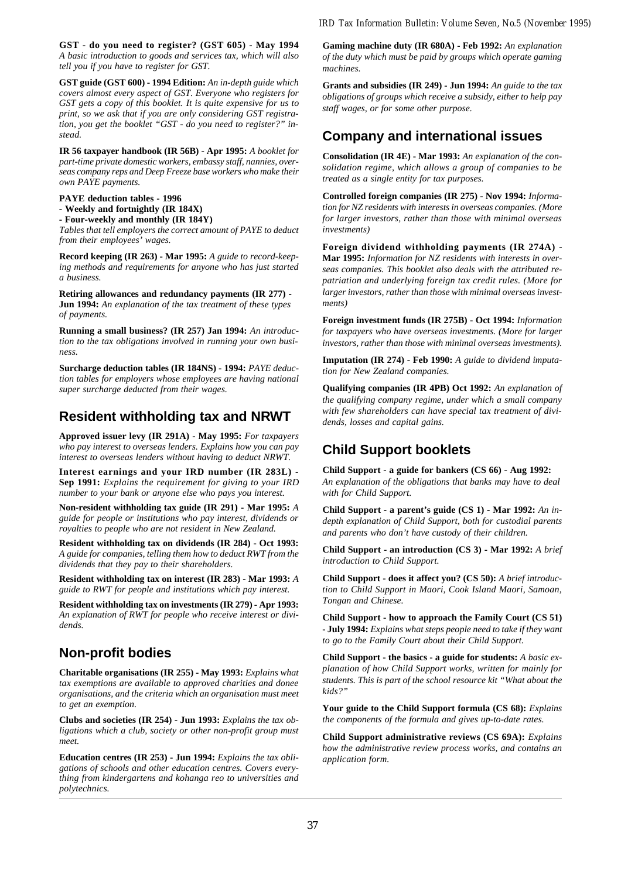**GST - do you need to register? (GST 605) - May 1994** *A basic introduction to goods and services tax, which will also tell you if you have to register for GST.*

**GST guide (GST 600) - 1994 Edition:** *An in-depth guide which covers almost every aspect of GST. Everyone who registers for GST gets a copy of this booklet. It is quite expensive for us to print, so we ask that if you are only considering GST registration, you get the booklet "GST - do you need to register?" instead.*

**IR 56 taxpayer handbook (IR 56B) - Apr 1995:** *A booklet for part-time private domestic workers, embassy staff, nannies, overseas company reps and Deep Freeze base workers who make their own PAYE payments.*

#### **PAYE deduction tables - 1996 - Weekly and fortnightly (IR 184X)**

**- Four-weekly and monthly (IR 184Y)**

*Tables that tell employers the correct amount of PAYE to deduct from their employees' wages.*

**Record keeping (IR 263) - Mar 1995:** *A guide to record-keeping methods and requirements for anyone who has just started a business.*

**Retiring allowances and redundancy payments (IR 277) - Jun 1994:** *An explanation of the tax treatment of these types of payments.*

**Running a small business? (IR 257) Jan 1994:** *An introduction to the tax obligations involved in running your own business.*

**Surcharge deduction tables (IR 184NS) - 1994:** *PAYE deduction tables for employers whose employees are having national super surcharge deducted from their wages.*

# **Resident withholding tax and NRWT**

**Approved issuer levy (IR 291A) - May 1995:** *For taxpayers who pay interest to overseas lenders. Explains how you can pay interest to overseas lenders without having to deduct NRWT.*

**Interest earnings and your IRD number (IR 283L) - Sep 1991:** *Explains the requirement for giving to your IRD number to your bank or anyone else who pays you interest.*

**Non-resident withholding tax guide (IR 291) - Mar 1995:** *A guide for people or institutions who pay interest, dividends or royalties to people who are not resident in New Zealand.*

**Resident withholding tax on dividends (IR 284) - Oct 1993:** *A guide for companies, telling them how to deduct RWT from the dividends that they pay to their shareholders.*

**Resident withholding tax on interest (IR 283) - Mar 1993:** *A guide to RWT for people and institutions which pay interest.*

**Resident withholding tax on investments (IR 279) - Apr 1993:** *An explanation of RWT for people who receive interest or dividends.*

# **Non-profit bodies**

**Charitable organisations (IR 255) - May 1993:** *Explains what tax exemptions are available to approved charities and donee organisations, and the criteria which an organisation must meet to get an exemption.*

**Clubs and societies (IR 254) - Jun 1993:** *Explains the tax obligations which a club, society or other non-profit group must meet.*

**Education centres (IR 253) - Jun 1994:** *Explains the tax obligations of schools and other education centres. Covers everything from kindergartens and kohanga reo to universities and polytechnics.*

**Gaming machine duty (IR 680A) - Feb 1992:** *An explanation of the duty which must be paid by groups which operate gaming machines.*

**Grants and subsidies (IR 249) - Jun 1994:** *An guide to the tax obligations of groups which receive a subsidy, either to help pay staff wages, or for some other purpose.*

# **Company and international issues**

**Consolidation (IR 4E) - Mar 1993:** *An explanation of the consolidation regime, which allows a group of companies to be treated as a single entity for tax purposes.*

**Controlled foreign companies (IR 275) - Nov 1994:** *Information for NZ residents with interests in overseas companies. (More for larger investors, rather than those with minimal overseas investments)*

**Foreign dividend withholding payments (IR 274A) - Mar 1995:** *Information for NZ residents with interests in overseas companies. This booklet also deals with the attributed repatriation and underlying foreign tax credit rules. (More for larger investors, rather than those with minimal overseas investments)*

**Foreign investment funds (IR 275B) - Oct 1994:** *Information for taxpayers who have overseas investments. (More for larger investors, rather than those with minimal overseas investments).*

**Imputation (IR 274) - Feb 1990:** *A guide to dividend imputation for New Zealand companies.*

**Qualifying companies (IR 4PB) Oct 1992:** *An explanation of the qualifying company regime, under which a small company with few shareholders can have special tax treatment of dividends, losses and capital gains.*

# **Child Support booklets**

**Child Support - a guide for bankers (CS 66) - Aug 1992:** *An explanation of the obligations that banks may have to deal with for Child Support.*

**Child Support - a parent's guide (CS 1) - Mar 1992:** *An indepth explanation of Child Support, both for custodial parents and parents who don't have custody of their children.*

**Child Support - an introduction (CS 3) - Mar 1992:** *A brief introduction to Child Support.*

**Child Support - does it affect you? (CS 50):** *A brief introduction to Child Support in Maori, Cook Island Maori, Samoan, Tongan and Chinese.*

**Child Support - how to approach the Family Court (CS 51) - July 1994:** *Explains what steps people need to take if they want to go to the Family Court about their Child Support.*

**Child Support - the basics - a guide for students:** *A basic explanation of how Child Support works, written for mainly for students. This is part of the school resource kit "What about the kids?"*

**Your guide to the Child Support formula (CS 68):** *Explains the components of the formula and gives up-to-date rates.*

**Child Support administrative reviews (CS 69A):** *Explains how the administrative review process works, and contains an application form.*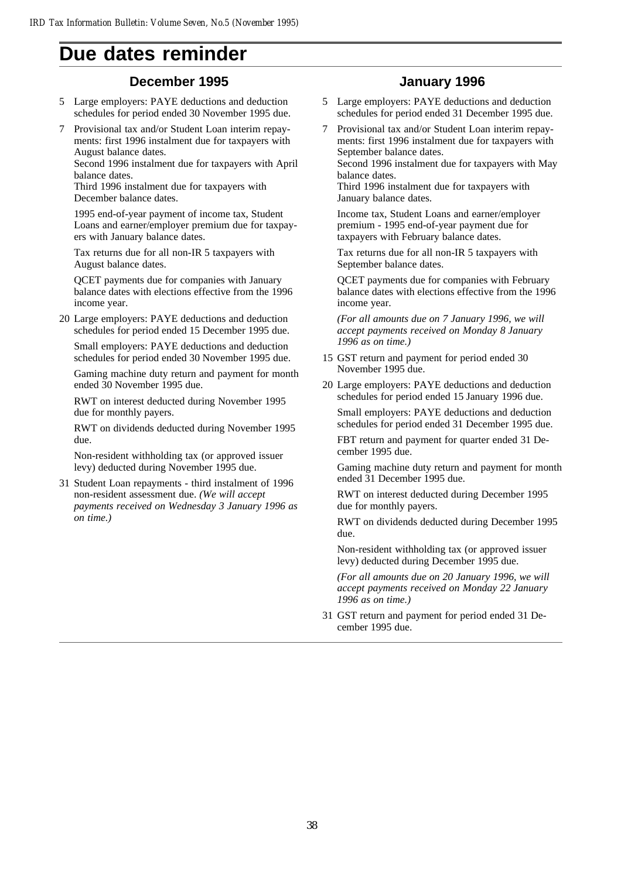# **Due dates reminder**

## **December 1995**

- 5 Large employers: PAYE deductions and deduction schedules for period ended 30 November 1995 due.
- 7 Provisional tax and/or Student Loan interim repayments: first 1996 instalment due for taxpayers with August balance dates.

Second 1996 instalment due for taxpayers with April balance dates.

Third 1996 instalment due for taxpayers with December balance dates.

1995 end-of-year payment of income tax, Student Loans and earner/employer premium due for taxpayers with January balance dates.

Tax returns due for all non-IR 5 taxpayers with August balance dates.

QCET payments due for companies with January balance dates with elections effective from the 1996 income year.

20 Large employers: PAYE deductions and deduction schedules for period ended 15 December 1995 due.

Small employers: PAYE deductions and deduction schedules for period ended 30 November 1995 due.

Gaming machine duty return and payment for month ended 30 November 1995 due.

RWT on interest deducted during November 1995 due for monthly payers.

RWT on dividends deducted during November 1995 due.

Non-resident withholding tax (or approved issuer levy) deducted during November 1995 due.

31 Student Loan repayments - third instalment of 1996 non-resident assessment due. *(We will accept payments received on Wednesday 3 January 1996 as on time.)*

## **January 1996**

- Large employers: PAYE deductions and deduction schedules for period ended 31 December 1995 due.
- 7 Provisional tax and/or Student Loan interim repayments: first 1996 instalment due for taxpayers with September balance dates.

Second 1996 instalment due for taxpayers with May balance dates.

Third 1996 instalment due for taxpayers with January balance dates.

Income tax, Student Loans and earner/employer premium - 1995 end-of-year payment due for taxpayers with February balance dates.

Tax returns due for all non-IR 5 taxpayers with September balance dates.

QCET payments due for companies with February balance dates with elections effective from the 1996 income year.

*(For all amounts due on 7 January 1996, we will accept payments received on Monday 8 January 1996 as on time.)*

- 15 GST return and payment for period ended 30 November 1995 due.
- 20 Large employers: PAYE deductions and deduction schedules for period ended 15 January 1996 due.

Small employers: PAYE deductions and deduction schedules for period ended 31 December 1995 due.

FBT return and payment for quarter ended 31 December 1995 due.

Gaming machine duty return and payment for month ended 31 December 1995 due.

RWT on interest deducted during December 1995 due for monthly payers.

RWT on dividends deducted during December 1995 due.

Non-resident withholding tax (or approved issuer levy) deducted during December 1995 due.

*(For all amounts due on 20 January 1996, we will accept payments received on Monday 22 January 1996 as on time.)*

31 GST return and payment for period ended 31 December 1995 due.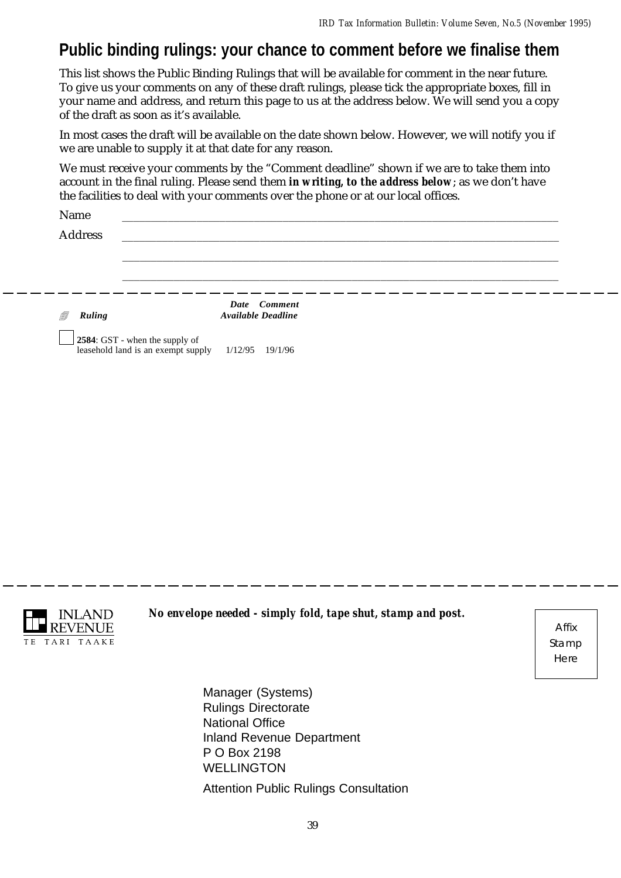# **Public binding rulings: your chance to comment before we finalise them**

This list shows the Public Binding Rulings that will be available for comment in the near future. To give us your comments on any of these draft rulings, please tick the appropriate boxes, fill in your name and address, and return this page to us at the address below. We will send you a copy of the draft as soon as it's available.

In most cases the draft will be available on the date shown below. However, we will notify you if we are unable to supply it at that date for any reason.

We must receive your comments by the "Comment deadline" shown if we are to take them into account in the final ruling. Please send them *in writing, to the address below*; as we don't have the facilities to deal with your comments over the phone or at our local offices.

| Name<br><b>Address</b> |                                           |  |  |
|------------------------|-------------------------------------------|--|--|
|                        |                                           |  |  |
|                        |                                           |  |  |
| f)<br>Ruling           | Date Comment<br><b>Available Deadline</b> |  |  |



*No envelope needed - simply fold, tape shut, stamp and post.*

Affix Stamp Here

Manager (Systems) Rulings Directorate National Office Inland Revenue Department P O Box 2198 WELLINGTON Attention Public Rulings Consultation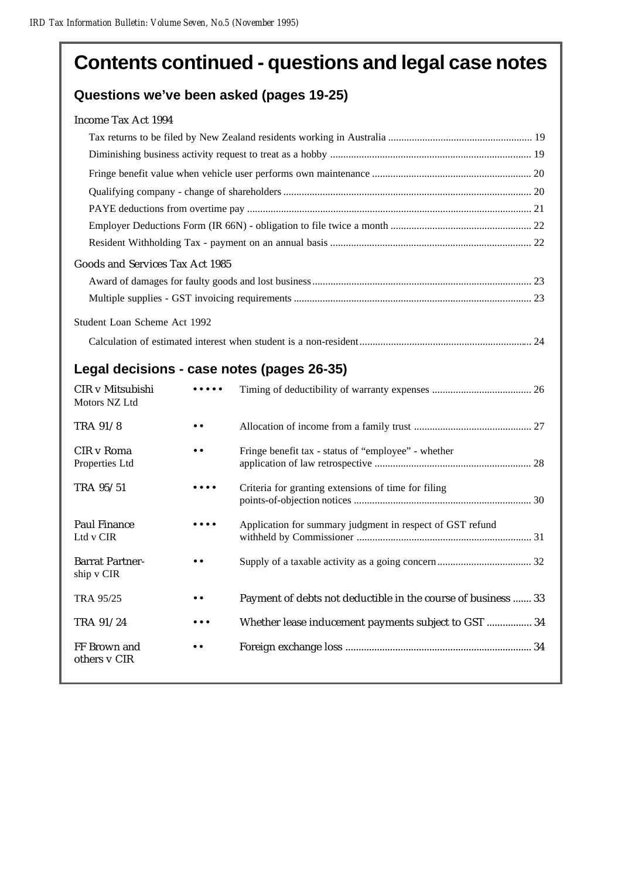# **Contents continued - questions and legal case notes**

# **Questions we've been asked (pages 19-25)**

| Income Tax Act 1994 |  |  |
|---------------------|--|--|
|                     |  |  |

| Goods and Services Tax Act 1985            |
|--------------------------------------------|
|                                            |
|                                            |
| Student Loan Scheme Act 1992               |
|                                            |
| Legal decisions - case notes (pages 26-35) |

| CIR v Mitsubishi<br>Motors NZ Ltd    |                  |                                                               |
|--------------------------------------|------------------|---------------------------------------------------------------|
| TRA 91/8                             | . .              |                                                               |
| CIR v Roma<br>Properties Ltd         |                  | Fringe benefit tax - status of "employee" - whether           |
| TRA 95/51                            |                  | Criteria for granting extensions of time for filing           |
| Paul Finance<br>Ltd v CIR            |                  | Application for summary judgment in respect of GST refund     |
| <b>Barrat Partner-</b><br>ship v CIR | $\bullet\bullet$ |                                                               |
| <b>TRA 95/25</b>                     | $\bullet\bullet$ | Payment of debts not deductible in the course of business  33 |
| TRA 91/24                            |                  | Whether lease inducement payments subject to GST  34          |
| FF Brown and<br>others v CIR         |                  |                                                               |